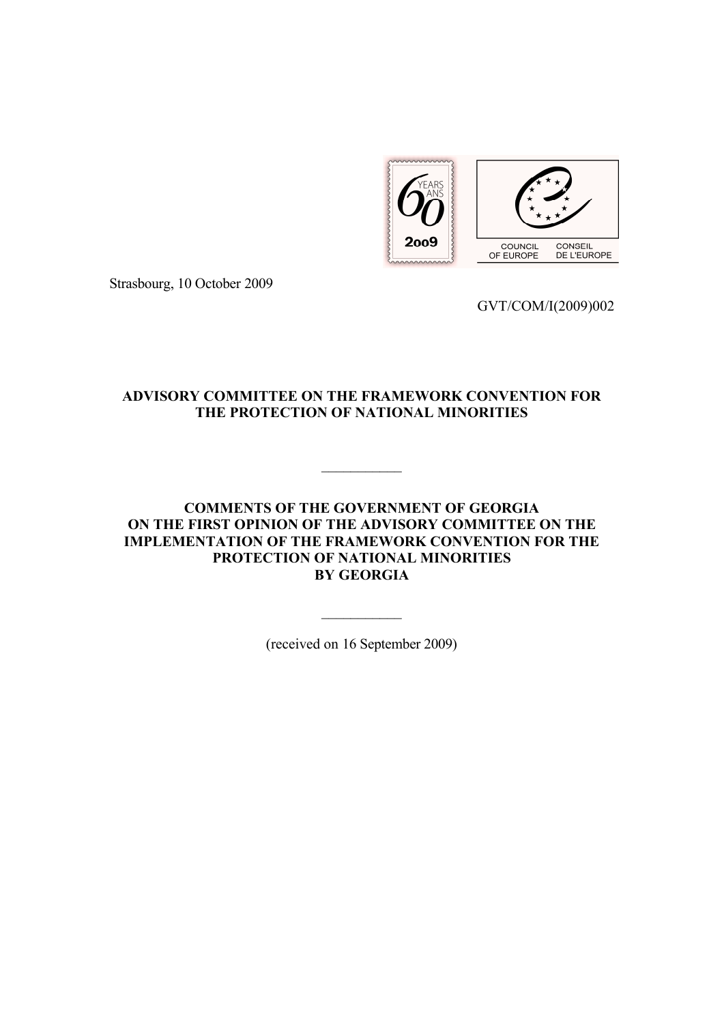

Strasbourg, 10 October 2009

GVT/COM/I(2009)002

### **ADVISORY COMMITTEE ON THE FRAMEWORK CONVENTION FOR THE PROTECTION OF NATIONAL MINORITIES**

 $\frac{1}{2}$ 

### **COMMENTS OF THE GOVERNMENT OF GEORGIA ON THE FIRST OPINION OF THE ADVISORY COMMITTEE ON THE IMPLEMENTATION OF THE FRAMEWORK CONVENTION FOR THE PROTECTION OF NATIONAL MINORITIES BY GEORGIA**

(received on 16 September 2009)

 $\frac{1}{2}$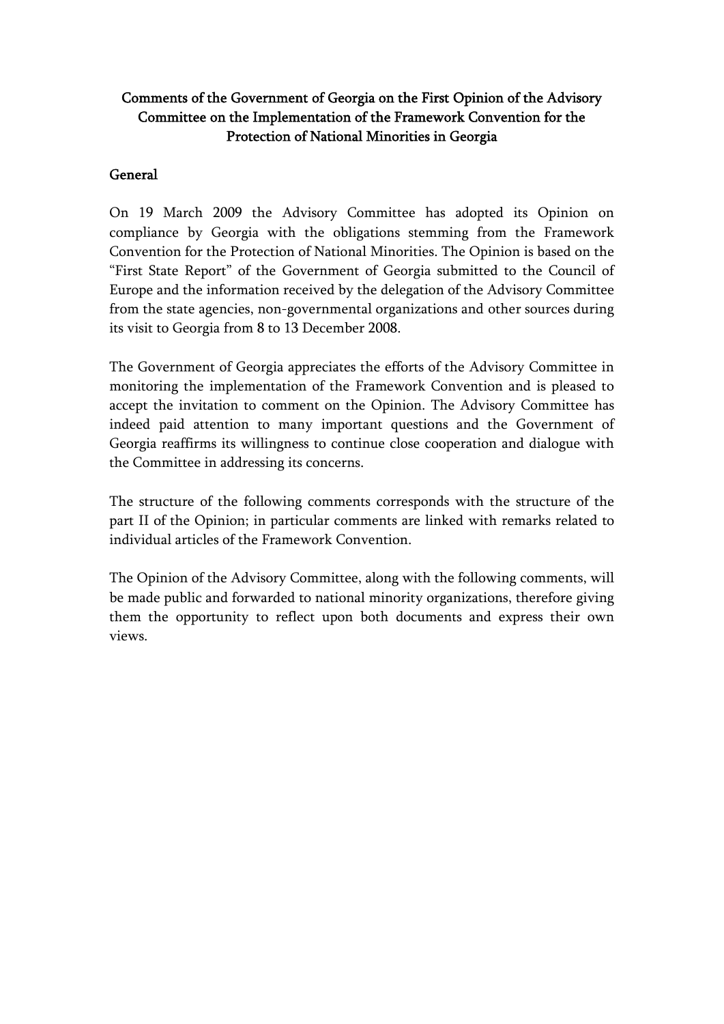# Comments of the Government of Georgia on the First Opinion of the Advisory Committee on the Implementation of the Framework Convention for the Protection of National Minorities in Georgia

### General

On 19 March 2009 the Advisory Committee has adopted its Opinion on compliance by Georgia with the obligations stemming from the Framework Convention for the Protection of National Minorities. The Opinion is based on the "First State Report" of the Government of Georgia submitted to the Council of Europe and the information received by the delegation of the Advisory Committee from the state agencies, non-governmental organizations and other sources during its visit to Georgia from 8 to 13 December 2008.

The Government of Georgia appreciates the efforts of the Advisory Committee in monitoring the implementation of the Framework Convention and is pleased to accept the invitation to comment on the Opinion. The Advisory Committee has indeed paid attention to many important questions and the Government of Georgia reaffirms its willingness to continue close cooperation and dialogue with the Committee in addressing its concerns.

The structure of the following comments corresponds with the structure of the part II of the Opinion; in particular comments are linked with remarks related to individual articles of the Framework Convention.

The Opinion of the Advisory Committee, along with the following comments, will be made public and forwarded to national minority organizations, therefore giving them the opportunity to reflect upon both documents and express their own views.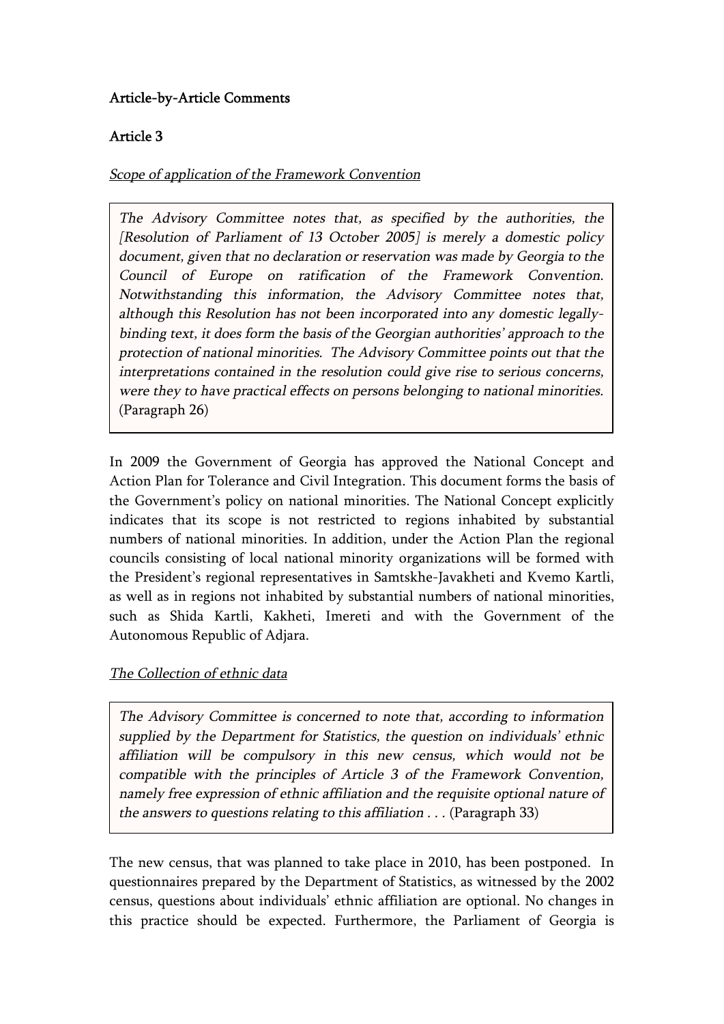## Article-by-Article Comments

# Article 3

Scope of application of the Framework Convention

The Advisory Committee notes that, as specified by the authorities, the [Resolution of Parliament of 13 October 2005] is merely a domestic policy document, given that no declaration or reservation was made by Georgia to the Council of Europe on ratification of the Framework Convention. Notwithstanding this information, the Advisory Committee notes that, although this Resolution has not been incorporated into any domestic legallybinding text, it does form the basis of the Georgian authorities' approach to the protection of national minorities. The Advisory Committee points out that the interpretations contained in the resolution could give rise to serious concerns, were they to have practical effects on persons belonging to national minorities. (Paragraph 26)

In 2009 the Government of Georgia has approved the National Concept and Action Plan for Tolerance and Civil Integration. This document forms the basis of the Government's policy on national minorities. The National Concept explicitly indicates that its scope is not restricted to regions inhabited by substantial numbers of national minorities. In addition, under the Action Plan the regional councils consisting of local national minority organizations will be formed with the President's regional representatives in Samtskhe-Javakheti and Kvemo Kartli, as well as in regions not inhabited by substantial numbers of national minorities, such as Shida Kartli, Kakheti, Imereti and with the Government of the Autonomous Republic of Adjara.

#### The Collection of ethnic data

The Advisory Committee is concerned to note that, according to information supplied by the Department for Statistics, the question on individuals' ethnic affiliation will be compulsory in this new census, which would not be compatible with the principles of Article 3 of the Framework Convention, namely free expression of ethnic affiliation and the requisite optional nature of the answers to questions relating to this affiliation . . . (Paragraph 33)

The new census, that was planned to take place in 2010, has been postponed. In questionnaires prepared by the Department of Statistics, as witnessed by the 2002 census, questions about individuals' ethnic affiliation are optional. No changes in this practice should be expected. Furthermore, the Parliament of Georgia is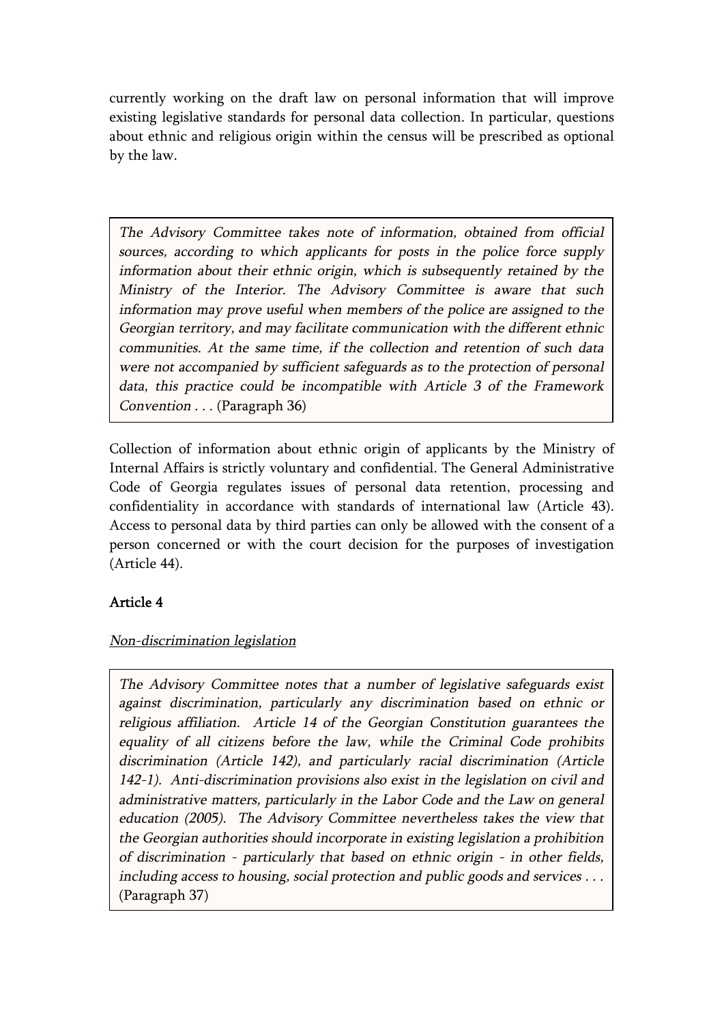currently working on the draft law on personal information that will improve existing legislative standards for personal data collection. In particular, questions about ethnic and religious origin within the census will be prescribed as optional by the law.

The Advisory Committee takes note of information, obtained from official sources, according to which applicants for posts in the police force supply information about their ethnic origin, which is subsequently retained by the Ministry of the Interior. The Advisory Committee is aware that such information may prove useful when members of the police are assigned to the Georgian territory, and may facilitate communication with the different ethnic communities. At the same time, if the collection and retention of such data were not accompanied by sufficient safeguards as to the protection of personal data, this practice could be incompatible with Article 3 of the Framework Convention . . . (Paragraph 36)

Collection of information about ethnic origin of applicants by the Ministry of Internal Affairs is strictly voluntary and confidential. The General Administrative Code of Georgia regulates issues of personal data retention, processing and confidentiality in accordance with standards of international law (Article 43). Access to personal data by third parties can only be allowed with the consent of a person concerned or with the court decision for the purposes of investigation (Article 44).

# Article 4

## Non-discrimination legislation

The Advisory Committee notes that a number of legislative safeguards exist against discrimination, particularly any discrimination based on ethnic or religious affiliation. Article 14 of the Georgian Constitution guarantees the equality of all citizens before the law, while the Criminal Code prohibits discrimination (Article 142), and particularly racial discrimination (Article 142-1). Anti-discrimination provisions also exist in the legislation on civil and administrative matters, particularly in the Labor Code and the Law on general education (2005). The Advisory Committee nevertheless takes the view that the Georgian authorities should incorporate in existing legislation a prohibition of discrimination - particularly that based on ethnic origin - in other fields, including access to housing, social protection and public goods and services . . . (Paragraph 37)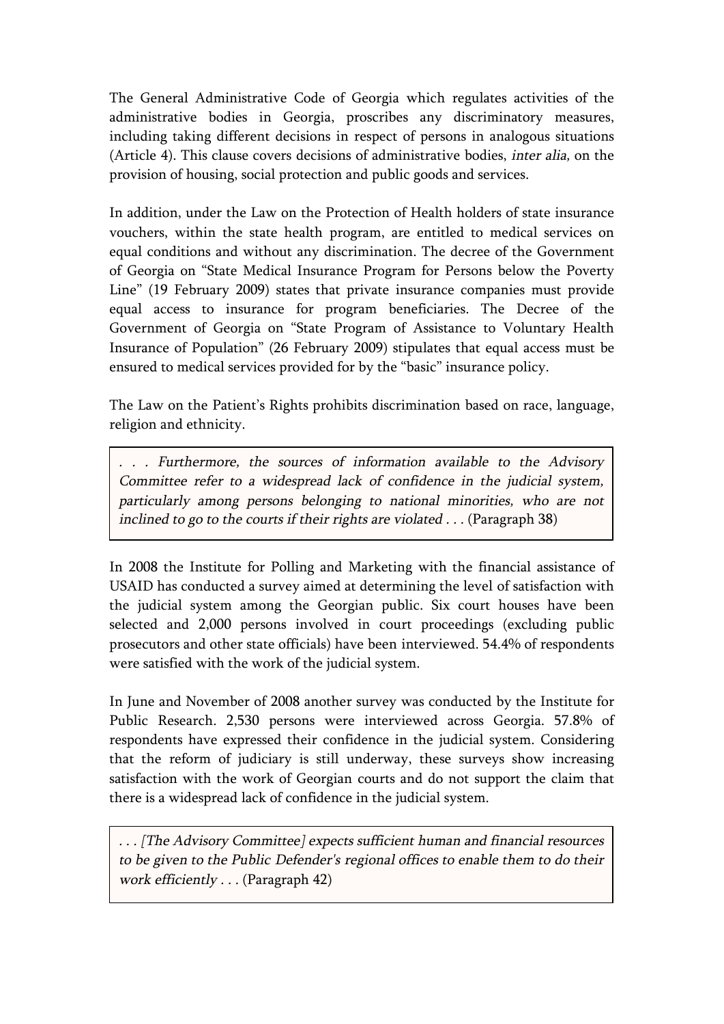The General Administrative Code of Georgia which regulates activities of the administrative bodies in Georgia, proscribes any discriminatory measures, including taking different decisions in respect of persons in analogous situations (Article 4). This clause covers decisions of administrative bodies, inter alia, on the provision of housing, social protection and public goods and services.

In addition, under the Law on the Protection of Health holders of state insurance vouchers, within the state health program, are entitled to medical services on equal conditions and without any discrimination. The decree of the Government of Georgia on "State Medical Insurance Program for Persons below the Poverty Line" (19 February 2009) states that private insurance companies must provide equal access to insurance for program beneficiaries. The Decree of the Government of Georgia on "State Program of Assistance to Voluntary Health Insurance of Population" (26 February 2009) stipulates that equal access must be ensured to medical services provided for by the "basic" insurance policy.

The Law on the Patient's Rights prohibits discrimination based on race, language, religion and ethnicity.

. . Furthermore, the sources of information available to the Advisory Committee refer to a widespread lack of confidence in the judicial system, particularly among persons belonging to national minorities, who are not inclined to go to the courts if their rights are violated . . . (Paragraph 38)

In 2008 the Institute for Polling and Marketing with the financial assistance of USAID has conducted a survey aimed at determining the level of satisfaction with the judicial system among the Georgian public. Six court houses have been selected and 2,000 persons involved in court proceedings (excluding public prosecutors and other state officials) have been interviewed. 54.4% of respondents were satisfied with the work of the judicial system.

In June and November of 2008 another survey was conducted by the Institute for Public Research. 2,530 persons were interviewed across Georgia. 57.8% of respondents have expressed their confidence in the judicial system. Considering that the reform of judiciary is still underway, these surveys show increasing satisfaction with the work of Georgian courts and do not support the claim that there is a widespread lack of confidence in the judicial system.

. . . [The Advisory Committee] expects sufficient human and financial resources to be given to the Public Defender's regional offices to enable them to do their work efficiently . . . (Paragraph 42)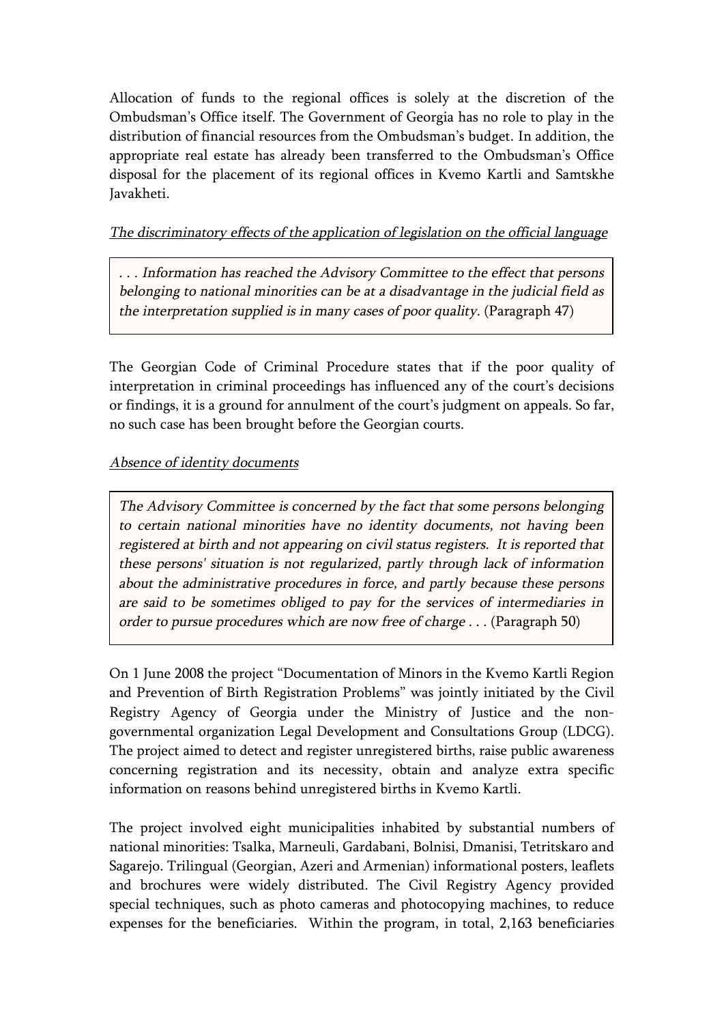Allocation of funds to the regional offices is solely at the discretion of the Ombudsman's Office itself. The Government of Georgia has no role to play in the distribution of financial resources from the Ombudsman's budget. In addition, the appropriate real estate has already been transferred to the Ombudsman's Office disposal for the placement of its regional offices in Kvemo Kartli and Samtskhe Javakheti.

# The discriminatory effects of the application of legislation on the official language

. . . Information has reached the Advisory Committee to the effect that persons belonging to national minorities can be at a disadvantage in the judicial field as the interpretation supplied is in many cases of poor quality. (Paragraph 47)

The Georgian Code of Criminal Procedure states that if the poor quality of interpretation in criminal proceedings has influenced any of the court's decisions or findings, it is a ground for annulment of the court's judgment on appeals. So far, no such case has been brought before the Georgian courts.

## Absence of identity documents

The Advisory Committee is concerned by the fact that some persons belonging to certain national minorities have no identity documents, not having been registered at birth and not appearing on civil status registers. It is reported that these persons' situation is not regularized, partly through lack of information about the administrative procedures in force, and partly because these persons are said to be sometimes obliged to pay for the services of intermediaries in order to pursue procedures which are now free of charge . . . (Paragraph 50)

On 1 June 2008 the project "Documentation of Minors in the Kvemo Kartli Region and Prevention of Birth Registration Problems" was jointly initiated by the Civil Registry Agency of Georgia under the Ministry of Justice and the nongovernmental organization Legal Development and Consultations Group (LDCG). The project aimed to detect and register unregistered births, raise public awareness concerning registration and its necessity, obtain and analyze extra specific information on reasons behind unregistered births in Kvemo Kartli.

The project involved eight municipalities inhabited by substantial numbers of national minorities: Tsalka, Marneuli, Gardabani, Bolnisi, Dmanisi, Tetritskaro and Sagarejo. Trilingual (Georgian, Azeri and Armenian) informational posters, leaflets and brochures were widely distributed. The Civil Registry Agency provided special techniques, such as photo cameras and photocopying machines, to reduce expenses for the beneficiaries. Within the program, in total, 2,163 beneficiaries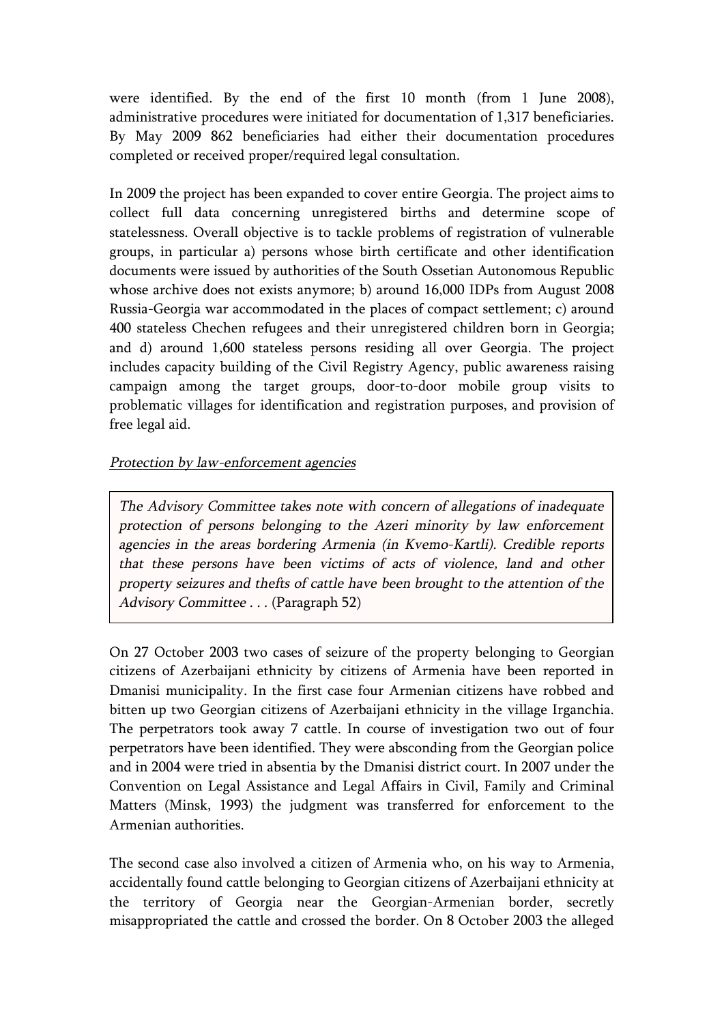were identified. By the end of the first 10 month (from 1 June 2008), administrative procedures were initiated for documentation of 1,317 beneficiaries. By May 2009 862 beneficiaries had either their documentation procedures completed or received proper/required legal consultation.

In 2009 the project has been expanded to cover entire Georgia. The project aims to collect full data concerning unregistered births and determine scope of statelessness. Overall objective is to tackle problems of registration of vulnerable groups, in particular a) persons whose birth certificate and other identification documents were issued by authorities of the South Ossetian Autonomous Republic whose archive does not exists anymore; b) around 16,000 IDPs from August 2008 Russia-Georgia war accommodated in the places of compact settlement; c) around 400 stateless Chechen refugees and their unregistered children born in Georgia; and d) around 1,600 stateless persons residing all over Georgia. The project includes capacity building of the Civil Registry Agency, public awareness raising campaign among the target groups, door-to-door mobile group visits to problematic villages for identification and registration purposes, and provision of free legal aid.

### Protection by law-enforcement agencies

The Advisory Committee takes note with concern of allegations of inadequate protection of persons belonging to the Azeri minority by law enforcement agencies in the areas bordering Armenia (in Kvemo-Kartli). Credible reports that these persons have been victims of acts of violence, land and other property seizures and thefts of cattle have been brought to the attention of the Advisory Committee . . . (Paragraph 52)

On 27 October 2003 two cases of seizure of the property belonging to Georgian citizens of Azerbaijani ethnicity by citizens of Armenia have been reported in Dmanisi municipality. In the first case four Armenian citizens have robbed and bitten up two Georgian citizens of Azerbaijani ethnicity in the village Irganchia. The perpetrators took away 7 cattle. In course of investigation two out of four perpetrators have been identified. They were absconding from the Georgian police and in 2004 were tried in absentia by the Dmanisi district court. In 2007 under the Convention on Legal Assistance and Legal Affairs in Civil, Family and Criminal Matters (Minsk, 1993) the judgment was transferred for enforcement to the Armenian authorities.

The second case also involved a citizen of Armenia who, on his way to Armenia, accidentally found cattle belonging to Georgian citizens of Azerbaijani ethnicity at the territory of Georgia near the Georgian-Armenian border, secretly misappropriated the cattle and crossed the border. On 8 October 2003 the alleged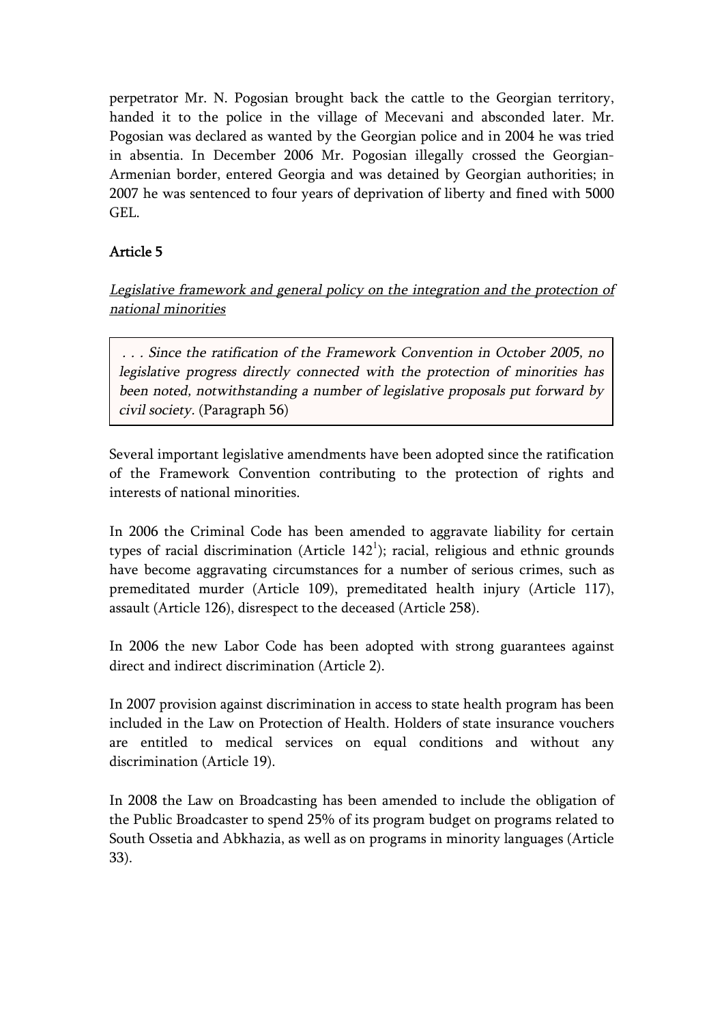perpetrator Mr. N. Pogosian brought back the cattle to the Georgian territory, handed it to the police in the village of Mecevani and absconded later. Mr. Pogosian was declared as wanted by the Georgian police and in 2004 he was tried in absentia. In December 2006 Mr. Pogosian illegally crossed the Georgian-Armenian border, entered Georgia and was detained by Georgian authorities; in 2007 he was sentenced to four years of deprivation of liberty and fined with 5000 GEL.

# Article 5

Legislative framework and general policy on the integration and the protection of national minorities

. . . Since the ratification of the Framework Convention in October 2005, no legislative progress directly connected with the protection of minorities has been noted, notwithstanding a number of legislative proposals put forward by civil society. (Paragraph 56)

Several important legislative amendments have been adopted since the ratification of the Framework Convention contributing to the protection of rights and interests of national minorities.

In 2006 the Criminal Code has been amended to aggravate liability for certain types of racial discrimination (Article  $142^1$ ); racial, religious and ethnic grounds have become aggravating circumstances for a number of serious crimes, such as premeditated murder (Article 109), premeditated health injury (Article 117), assault (Article 126), disrespect to the deceased (Article 258).

In 2006 the new Labor Code has been adopted with strong guarantees against direct and indirect discrimination (Article 2).

In 2007 provision against discrimination in access to state health program has been included in the Law on Protection of Health. Holders of state insurance vouchers are entitled to medical services on equal conditions and without any discrimination (Article 19).

In 2008 the Law on Broadcasting has been amended to include the obligation of the Public Broadcaster to spend 25% of its program budget on programs related to South Ossetia and Abkhazia, as well as on programs in minority languages (Article 33).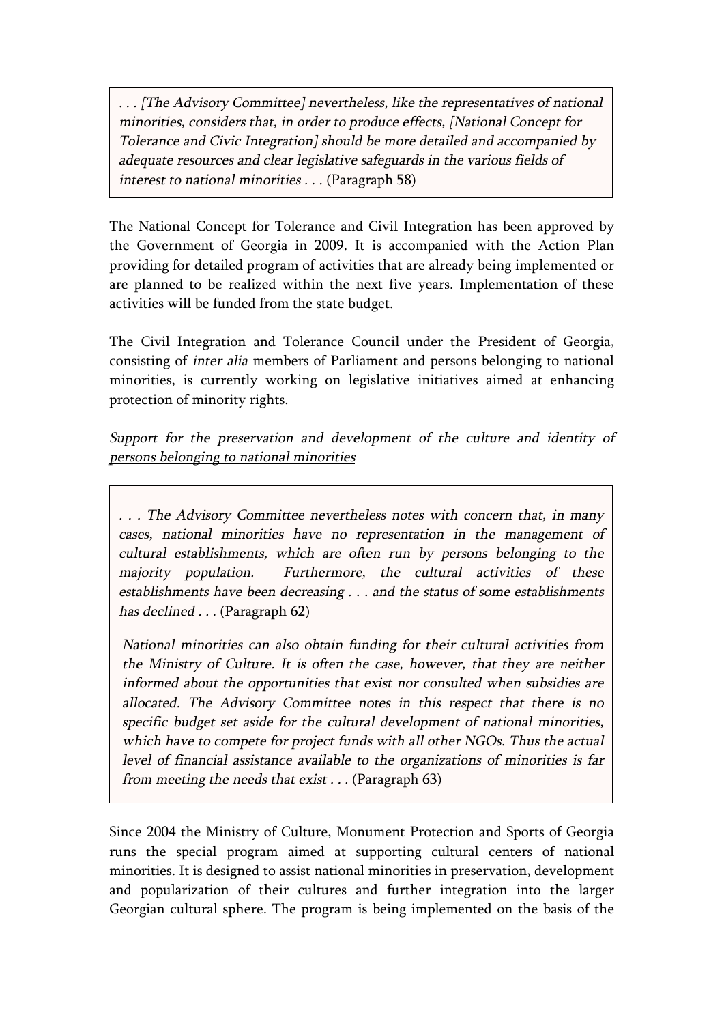. . . [The Advisory Committee] nevertheless, like the representatives of national minorities, considers that, in order to produce effects, [National Concept for Tolerance and Civic Integration] should be more detailed and accompanied by adequate resources and clear legislative safeguards in the various fields of interest to national minorities . . . (Paragraph 58)

The National Concept for Tolerance and Civil Integration has been approved by the Government of Georgia in 2009. It is accompanied with the Action Plan providing for detailed program of activities that are already being implemented or are planned to be realized within the next five years. Implementation of these activities will be funded from the state budget.

The Civil Integration and Tolerance Council under the President of Georgia, consisting of inter alia members of Parliament and persons belonging to national minorities, is currently working on legislative initiatives aimed at enhancing protection of minority rights.

Support for the preservation and development of the culture and identity of persons belonging to national minorities

. . . The Advisory Committee nevertheless notes with concern that, in many cases, national minorities have no representation in the management of cultural establishments, which are often run by persons belonging to the majority population. Furthermore, the cultural activities of these establishments have been decreasing . . . and the status of some establishments has declined . . . (Paragraph 62)

National minorities can also obtain funding for their cultural activities from the Ministry of Culture. It is often the case, however, that they are neither informed about the opportunities that exist nor consulted when subsidies are allocated. The Advisory Committee notes in this respect that there is no specific budget set aside for the cultural development of national minorities, which have to compete for project funds with all other NGOs. Thus the actual level of financial assistance available to the organizations of minorities is far from meeting the needs that exist . . . (Paragraph 63)

Since 2004 the Ministry of Culture, Monument Protection and Sports of Georgia runs the special program aimed at supporting cultural centers of national minorities. It is designed to assist national minorities in preservation, development and popularization of their cultures and further integration into the larger Georgian cultural sphere. The program is being implemented on the basis of the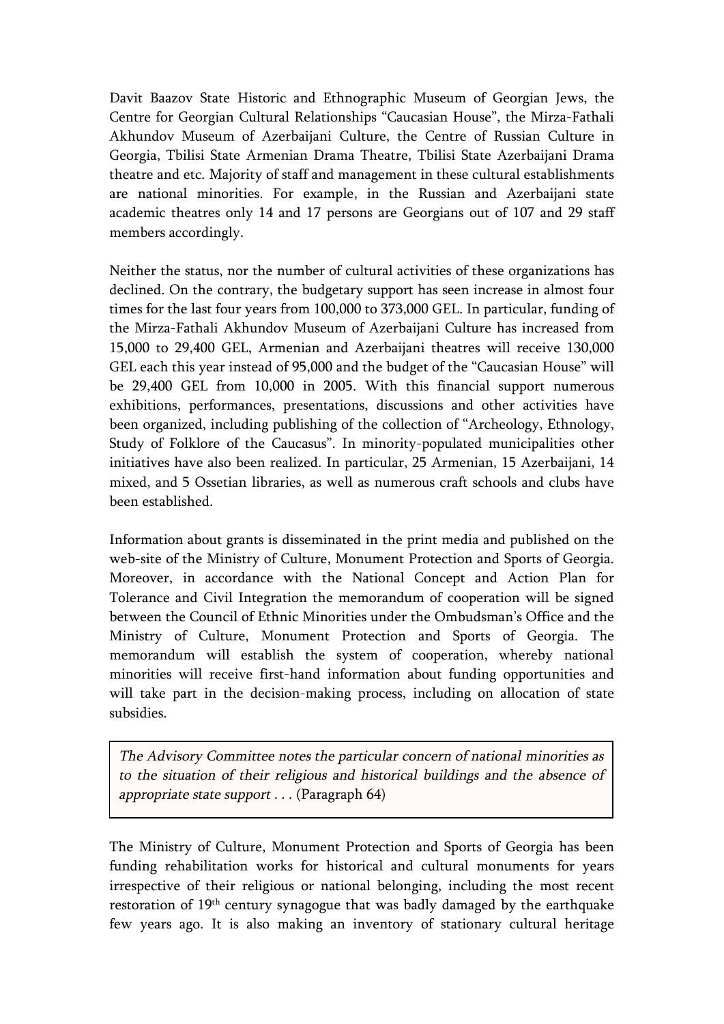Davit Baazov State Historic and Ethnographic Museum of Georgian Jews, the Centre for Georgian Cultural Relationships "Caucasian House", the Mirza-Fathali Akhundov Museum of Azerbaijani Culture, the Centre of Russian Culture in Georgia, Tbilisi State Armenian Drama Theatre, Tbilisi State Azerbaijani Drama theatre and etc. Majority of staff and management in these cultural establishments are national minorities. For example, in the Russian and Azerbaijani state academic theatres only 14 and 17 persons are Georgians out of 107 and 29 staff members accordingly.

Neither the status, nor the number of cultural activities of these organizations has declined. On the contrary, the budgetary support has seen increase in almost four times for the last four years from 100,000 to 373,000 GEL. In particular, funding of the Mirza-Fathali Akhundov Museum of Azerbaijani Culture has increased from 15,000 to 29,400 GEL, Armenian and Azerbaijani theatres will receive 130,000 GEL each this year instead of 95,000 and the budget of the "Caucasian House" will be 29,400 GEL from 10,000 in 2005. With this financial support numerous exhibitions, performances, presentations, discussions and other activities have been organized, including publishing of the collection of "Archeology, Ethnology, Study of Folklore of the Caucasus". In minority-populated municipalities other initiatives have also been realized. In particular, 25 Armenian, 15 Azerbaijani, 14 mixed, and 5 Ossetian libraries, as well as numerous craft schools and clubs have been established.

Information about grants is disseminated in the print media and published on the web-site of the Ministry of Culture, Monument Protection and Sports of Georgia. Moreover, in accordance with the National Concept and Action Plan for Tolerance and Civil Integration the memorandum of cooperation will be signed between the Council of Ethnic Minorities under the Ombudsman's Office and the Ministry of Culture, Monument Protection and Sports of Georgia. The memorandum will establish the system of cooperation, whereby national minorities will receive first-hand information about funding opportunities and will take part in the decision-making process, including on allocation of state subsidies.

The Advisory Committee notes the particular concern of national minorities as to the situation of their religious and historical buildings and the absence of appropriate state support . . . (Paragraph 64)

The Ministry of Culture, Monument Protection and Sports of Georgia has been funding rehabilitation works for historical and cultural monuments for years irrespective of their religious or national belonging, including the most recent restoration of 19th century synagogue that was badly damaged by the earthquake few years ago. It is also making an inventory of stationary cultural heritage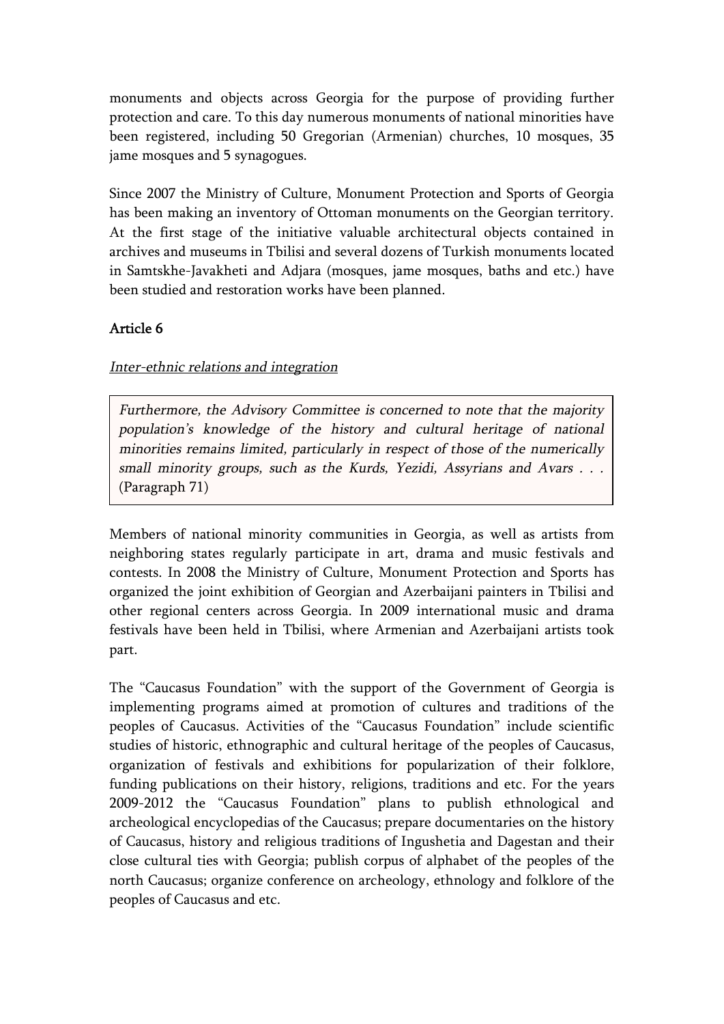monuments and objects across Georgia for the purpose of providing further protection and care. To this day numerous monuments of national minorities have been registered, including 50 Gregorian (Armenian) churches, 10 mosques, 35 jame mosques and 5 synagogues.

Since 2007 the Ministry of Culture, Monument Protection and Sports of Georgia has been making an inventory of Ottoman monuments on the Georgian territory. At the first stage of the initiative valuable architectural objects contained in archives and museums in Tbilisi and several dozens of Turkish monuments located in Samtskhe-Javakheti and Adjara (mosques, jame mosques, baths and etc.) have been studied and restoration works have been planned.

# Article 6

## Inter-ethnic relations and integration

Furthermore, the Advisory Committee is concerned to note that the majority population's knowledge of the history and cultural heritage of national minorities remains limited, particularly in respect of those of the numerically small minority groups, such as the Kurds, Yezidi, Assyrians and Avars . . . (Paragraph 71)

Members of national minority communities in Georgia, as well as artists from neighboring states regularly participate in art, drama and music festivals and contests. In 2008 the Ministry of Culture, Monument Protection and Sports has organized the joint exhibition of Georgian and Azerbaijani painters in Tbilisi and other regional centers across Georgia. In 2009 international music and drama festivals have been held in Tbilisi, where Armenian and Azerbaijani artists took part.

The "Caucasus Foundation" with the support of the Government of Georgia is implementing programs aimed at promotion of cultures and traditions of the peoples of Caucasus. Activities of the "Caucasus Foundation" include scientific studies of historic, ethnographic and cultural heritage of the peoples of Caucasus, organization of festivals and exhibitions for popularization of their folklore, funding publications on their history, religions, traditions and etc. For the years 2009-2012 the "Caucasus Foundation" plans to publish ethnological and archeological encyclopedias of the Caucasus; prepare documentaries on the history of Caucasus, history and religious traditions of Ingushetia and Dagestan and their close cultural ties with Georgia; publish corpus of alphabet of the peoples of the north Caucasus; organize conference on archeology, ethnology and folklore of the peoples of Caucasus and etc.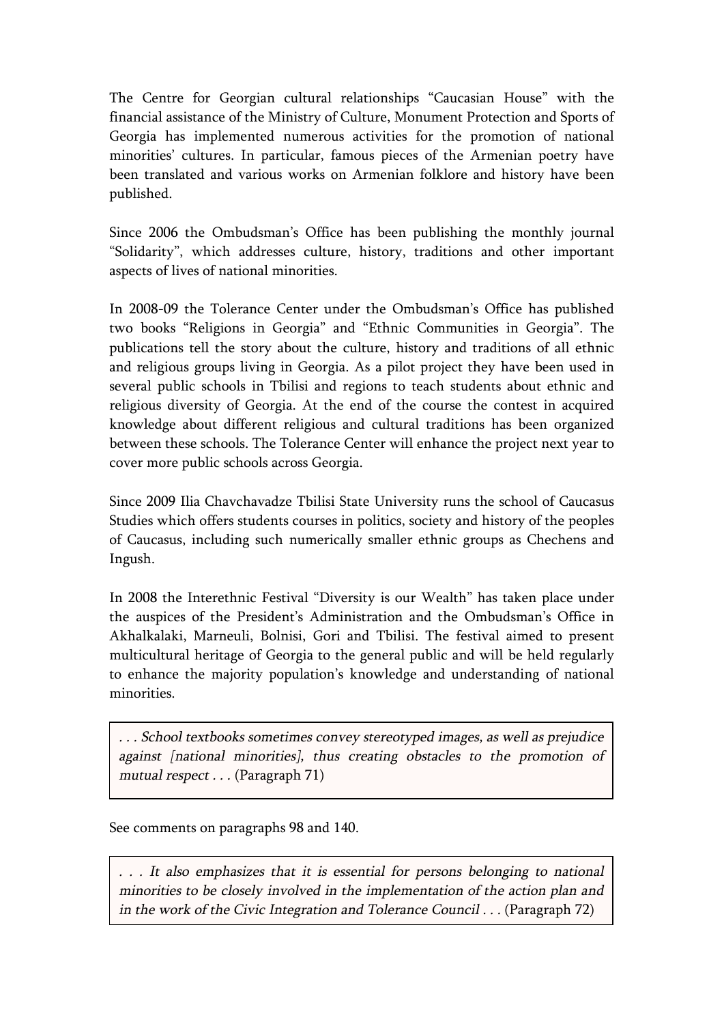The Centre for Georgian cultural relationships "Caucasian House" with the financial assistance of the Ministry of Culture, Monument Protection and Sports of Georgia has implemented numerous activities for the promotion of national minorities' cultures. In particular, famous pieces of the Armenian poetry have been translated and various works on Armenian folklore and history have been published.

Since 2006 the Ombudsman's Office has been publishing the monthly journal "Solidarity", which addresses culture, history, traditions and other important aspects of lives of national minorities.

In 2008-09 the Tolerance Center under the Ombudsman's Office has published two books "Religions in Georgia" and "Ethnic Communities in Georgia". The publications tell the story about the culture, history and traditions of all ethnic and religious groups living in Georgia. As a pilot project they have been used in several public schools in Tbilisi and regions to teach students about ethnic and religious diversity of Georgia. At the end of the course the contest in acquired knowledge about different religious and cultural traditions has been organized between these schools. The Tolerance Center will enhance the project next year to cover more public schools across Georgia.

Since 2009 Ilia Chavchavadze Tbilisi State University runs the school of Caucasus Studies which offers students courses in politics, society and history of the peoples of Caucasus, including such numerically smaller ethnic groups as Chechens and Ingush.

In 2008 the Interethnic Festival "Diversity is our Wealth" has taken place under the auspices of the President's Administration and the Ombudsman's Office in Akhalkalaki, Marneuli, Bolnisi, Gori and Tbilisi. The festival aimed to present multicultural heritage of Georgia to the general public and will be held regularly to enhance the majority population's knowledge and understanding of national minorities.

. . . School textbooks sometimes convey stereotyped images, as well as prejudice against [national minorities], thus creating obstacles to the promotion of mutual respect . . . (Paragraph 71)

See comments on paragraphs 98 and 140.

. . . It also emphasizes that it is essential for persons belonging to national minorities to be closely involved in the implementation of the action plan and in the work of the Civic Integration and Tolerance Council . . . (Paragraph 72)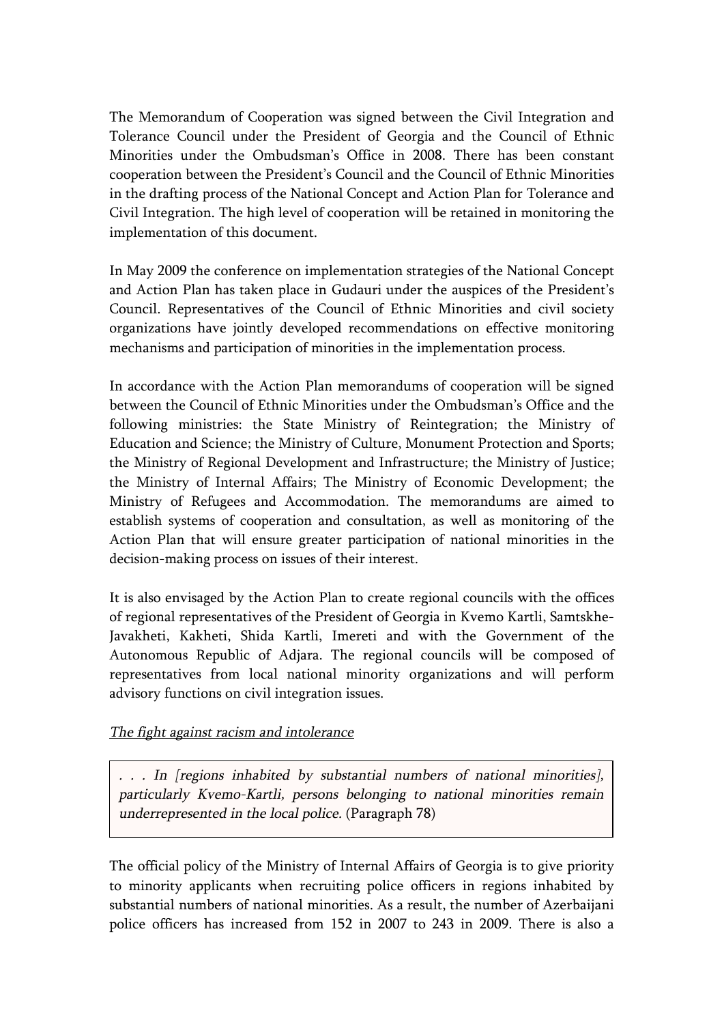The Memorandum of Cooperation was signed between the Civil Integration and Tolerance Council under the President of Georgia and the Council of Ethnic Minorities under the Ombudsman's Office in 2008. There has been constant cooperation between the President's Council and the Council of Ethnic Minorities in the drafting process of the National Concept and Action Plan for Tolerance and Civil Integration. The high level of cooperation will be retained in monitoring the implementation of this document.

In May 2009 the conference on implementation strategies of the National Concept and Action Plan has taken place in Gudauri under the auspices of the President's Council. Representatives of the Council of Ethnic Minorities and civil society organizations have jointly developed recommendations on effective monitoring mechanisms and participation of minorities in the implementation process.

In accordance with the Action Plan memorandums of cooperation will be signed between the Council of Ethnic Minorities under the Ombudsman's Office and the following ministries: the State Ministry of Reintegration; the Ministry of Education and Science; the Ministry of Culture, Monument Protection and Sports; the Ministry of Regional Development and Infrastructure; the Ministry of Justice; the Ministry of Internal Affairs; The Ministry of Economic Development; the Ministry of Refugees and Accommodation. The memorandums are aimed to establish systems of cooperation and consultation, as well as monitoring of the Action Plan that will ensure greater participation of national minorities in the decision-making process on issues of their interest.

It is also envisaged by the Action Plan to create regional councils with the offices of regional representatives of the President of Georgia in Kvemo Kartli, Samtskhe-Javakheti, Kakheti, Shida Kartli, Imereti and with the Government of the Autonomous Republic of Adjara. The regional councils will be composed of representatives from local national minority organizations and will perform advisory functions on civil integration issues.

## The fight against racism and intolerance

. . . In [regions inhabited by substantial numbers of national minorities], particularly Kvemo-Kartli, persons belonging to national minorities remain underrepresented in the local police. (Paragraph 78)

The official policy of the Ministry of Internal Affairs of Georgia is to give priority to minority applicants when recruiting police officers in regions inhabited by substantial numbers of national minorities. As a result, the number of Azerbaijani police officers has increased from 152 in 2007 to 243 in 2009. There is also a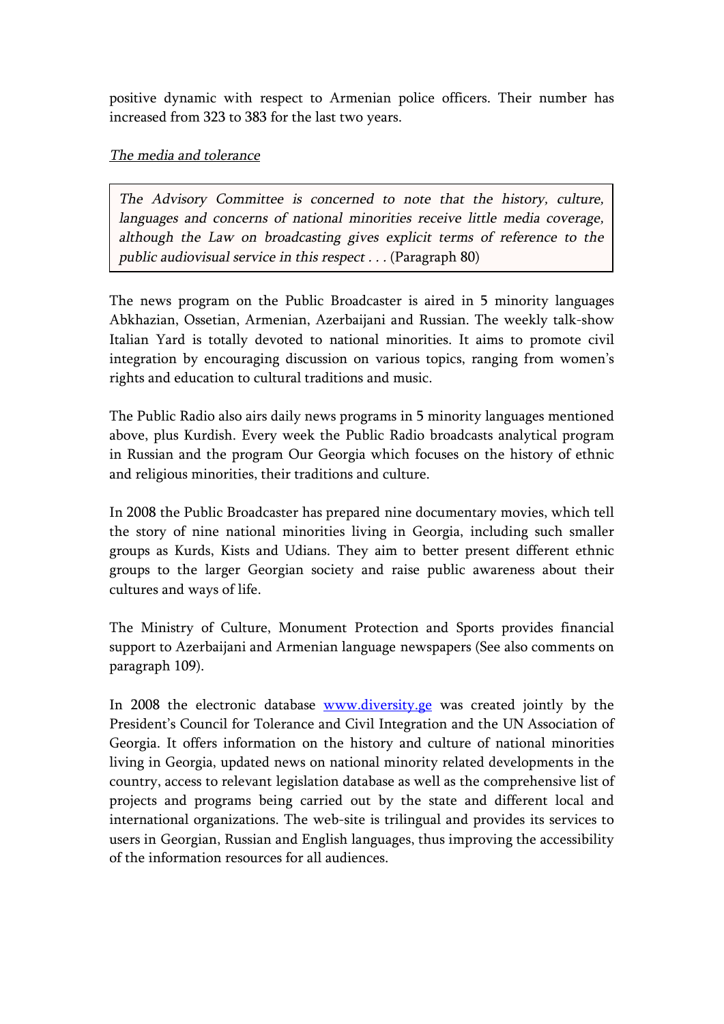positive dynamic with respect to Armenian police officers. Their number has increased from 323 to 383 for the last two years.

### The media and tolerance

The Advisory Committee is concerned to note that the history, culture, languages and concerns of national minorities receive little media coverage, although the Law on broadcasting gives explicit terms of reference to the public audiovisual service in this respect . . . (Paragraph 80)

The news program on the Public Broadcaster is aired in 5 minority languages Abkhazian, Ossetian, Armenian, Azerbaijani and Russian. The weekly talk-show Italian Yard is totally devoted to national minorities. It aims to promote civil integration by encouraging discussion on various topics, ranging from women's rights and education to cultural traditions and music.

The Public Radio also airs daily news programs in 5 minority languages mentioned above, plus Kurdish. Every week the Public Radio broadcasts analytical program in Russian and the program Our Georgia which focuses on the history of ethnic and religious minorities, their traditions and culture.

In 2008 the Public Broadcaster has prepared nine documentary movies, which tell the story of nine national minorities living in Georgia, including such smaller groups as Kurds, Kists and Udians. They aim to better present different ethnic groups to the larger Georgian society and raise public awareness about their cultures and ways of life.

The Ministry of Culture, Monument Protection and Sports provides financial support to Azerbaijani and Armenian language newspapers (See also comments on paragraph 109).

In 2008 the electronic database [www.diversity.ge](http://www.diversity.ge/) was created jointly by the President's Council for Tolerance and Civil Integration and the UN Association of Georgia. It offers information on the history and culture of national minorities living in Georgia, updated news on national minority related developments in the country, access to relevant legislation database as well as the comprehensive list of projects and programs being carried out by the state and different local and international organizations. The web-site is trilingual and provides its services to users in Georgian, Russian and English languages, thus improving the accessibility of the information resources for all audiences.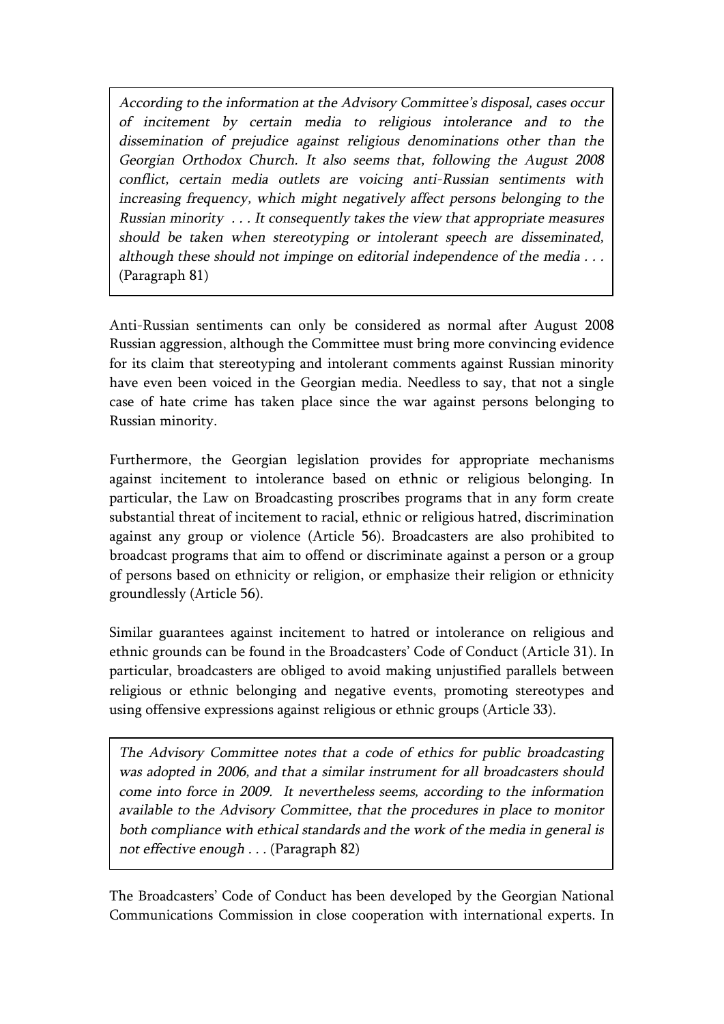According to the information at the Advisory Committee's disposal, cases occur of incitement by certain media to religious intolerance and to the dissemination of prejudice against religious denominations other than the Georgian Orthodox Church. It also seems that, following the August 2008 conflict, certain media outlets are voicing anti-Russian sentiments with increasing frequency, which might negatively affect persons belonging to the Russian minority . . . It consequently takes the view that appropriate measures should be taken when stereotyping or intolerant speech are disseminated, although these should not impinge on editorial independence of the media . . . (Paragraph 81)

Anti-Russian sentiments can only be considered as normal after August 2008 Russian aggression, although the Committee must bring more convincing evidence for its claim that stereotyping and intolerant comments against Russian minority have even been voiced in the Georgian media. Needless to say, that not a single case of hate crime has taken place since the war against persons belonging to Russian minority.

Furthermore, the Georgian legislation provides for appropriate mechanisms against incitement to intolerance based on ethnic or religious belonging. In particular, the Law on Broadcasting proscribes programs that in any form create substantial threat of incitement to racial, ethnic or religious hatred, discrimination against any group or violence (Article 56). Broadcasters are also prohibited to broadcast programs that aim to offend or discriminate against a person or a group of persons based on ethnicity or religion, or emphasize their religion or ethnicity groundlessly (Article 56).

Similar guarantees against incitement to hatred or intolerance on religious and ethnic grounds can be found in the Broadcasters' Code of Conduct (Article 31). In particular, broadcasters are obliged to avoid making unjustified parallels between religious or ethnic belonging and negative events, promoting stereotypes and using offensive expressions against religious or ethnic groups (Article 33).

The Advisory Committee notes that a code of ethics for public broadcasting was adopted in 2006, and that a similar instrument for all broadcasters should come into force in 2009. It nevertheless seems, according to the information available to the Advisory Committee, that the procedures in place to monitor both compliance with ethical standards and the work of the media in general is not effective enough . . . (Paragraph 82)

The Broadcasters' Code of Conduct has been developed by the Georgian National Communications Commission in close cooperation with international experts. In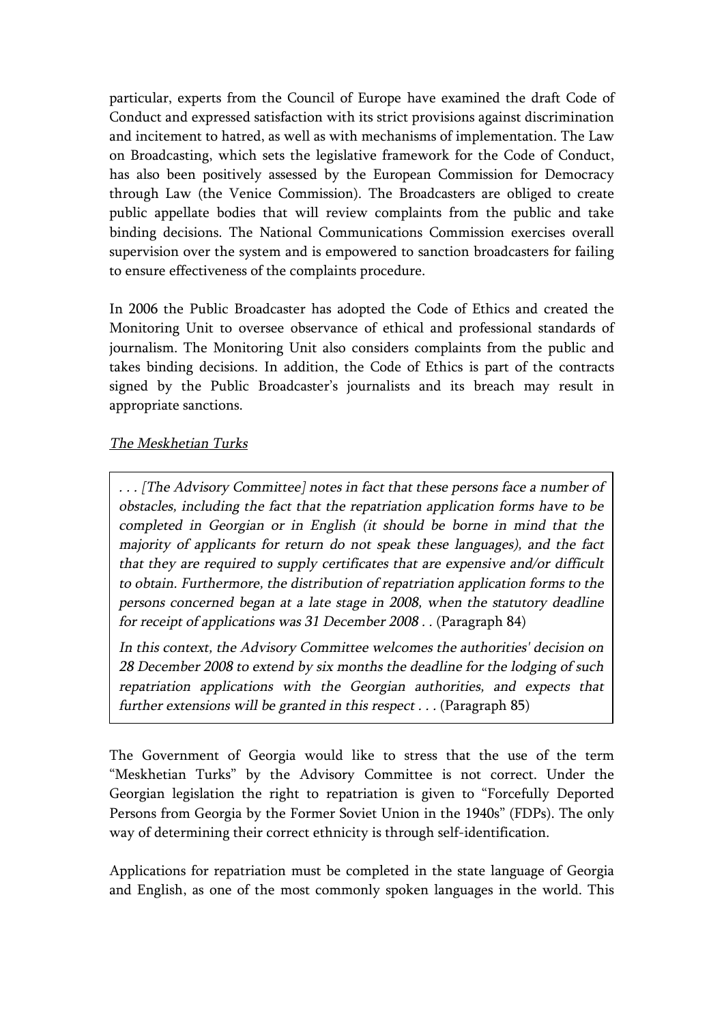particular, experts from the Council of Europe have examined the draft Code of Conduct and expressed satisfaction with its strict provisions against discrimination and incitement to hatred, as well as with mechanisms of implementation. The Law on Broadcasting, which sets the legislative framework for the Code of Conduct, has also been positively assessed by the European Commission for Democracy through Law (the Venice Commission). The Broadcasters are obliged to create public appellate bodies that will review complaints from the public and take binding decisions. The National Communications Commission exercises overall supervision over the system and is empowered to sanction broadcasters for failing to ensure effectiveness of the complaints procedure.

In 2006 the Public Broadcaster has adopted the Code of Ethics and created the Monitoring Unit to oversee observance of ethical and professional standards of journalism. The Monitoring Unit also considers complaints from the public and takes binding decisions. In addition, the Code of Ethics is part of the contracts signed by the Public Broadcaster's journalists and its breach may result in appropriate sanctions.

### The Meskhetian Turks

. . . [The Advisory Committee] notes in fact that these persons face a number of obstacles, including the fact that the repatriation application forms have to be completed in Georgian or in English (it should be borne in mind that the majority of applicants for return do not speak these languages), and the fact that they are required to supply certificates that are expensive and/or difficult to obtain. Furthermore, the distribution of repatriation application forms to the persons concerned began at a late stage in 2008, when the statutory deadline for receipt of applications was 31 December 2008 . . (Paragraph 84)

In this context, the Advisory Committee welcomes the authorities' decision on 28 December 2008 to extend by six months the deadline for the lodging of such repatriation applications with the Georgian authorities, and expects that further extensions will be granted in this respect . . . (Paragraph 85)

The Government of Georgia would like to stress that the use of the term "Meskhetian Turks" by the Advisory Committee is not correct. Under the Georgian legislation the right to repatriation is given to "Forcefully Deported Persons from Georgia by the Former Soviet Union in the 1940s" (FDPs). The only way of determining their correct ethnicity is through self-identification.

Applications for repatriation must be completed in the state language of Georgia and English, as one of the most commonly spoken languages in the world. This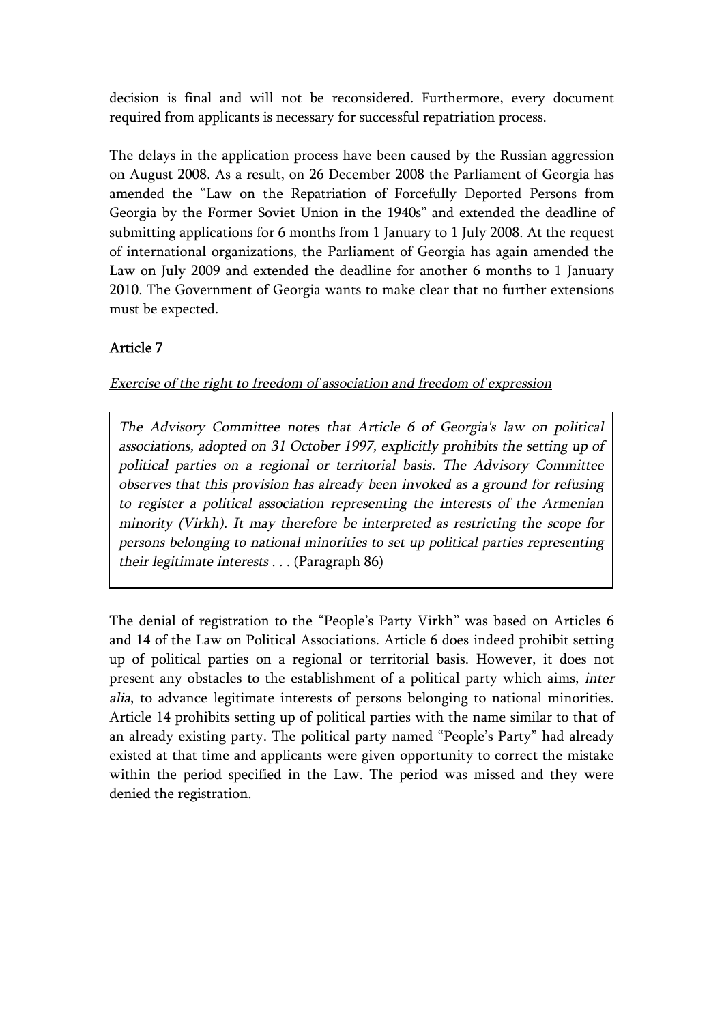decision is final and will not be reconsidered. Furthermore, every document required from applicants is necessary for successful repatriation process.

The delays in the application process have been caused by the Russian aggression on August 2008. As a result, on 26 December 2008 the Parliament of Georgia has amended the "Law on the Repatriation of Forcefully Deported Persons from Georgia by the Former Soviet Union in the 1940s" and extended the deadline of submitting applications for 6 months from 1 January to 1 July 2008. At the request of international organizations, the Parliament of Georgia has again amended the Law on July 2009 and extended the deadline for another 6 months to 1 January 2010. The Government of Georgia wants to make clear that no further extensions must be expected.

# Article 7

Exercise of the right to freedom of association and freedom of expression

The Advisory Committee notes that Article 6 of Georgia's law on political associations, adopted on 31 October 1997, explicitly prohibits the setting up of political parties on a regional or territorial basis. The Advisory Committee observes that this provision has already been invoked as a ground for refusing to register a political association representing the interests of the Armenian minority (Virkh). It may therefore be interpreted as restricting the scope for persons belonging to national minorities to set up political parties representing their legitimate interests . . . (Paragraph 86)

The denial of registration to the "People's Party Virkh" was based on Articles 6 and 14 of the Law on Political Associations. Article 6 does indeed prohibit setting up of political parties on a regional or territorial basis. However, it does not present any obstacles to the establishment of a political party which aims, inter alia, to advance legitimate interests of persons belonging to national minorities. Article 14 prohibits setting up of political parties with the name similar to that of an already existing party. The political party named "People's Party" had already existed at that time and applicants were given opportunity to correct the mistake within the period specified in the Law. The period was missed and they were denied the registration.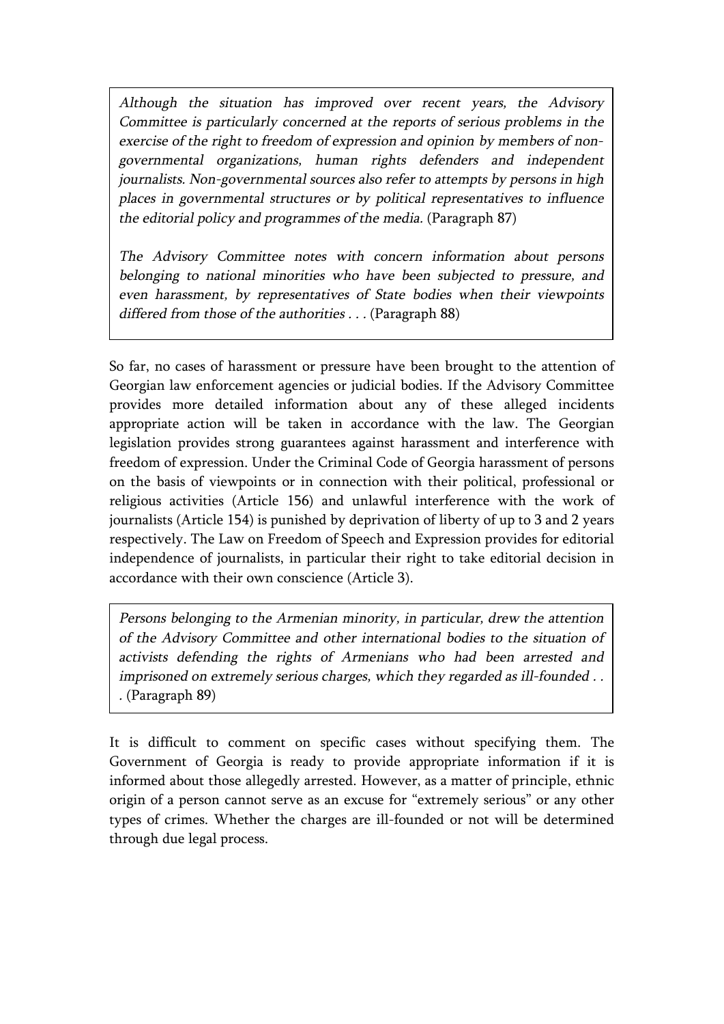Although the situation has improved over recent years, the Advisory Committee is particularly concerned at the reports of serious problems in the exercise of the right to freedom of expression and opinion by members of nongovernmental organizations, human rights defenders and independent journalists. Non-governmental sources also refer to attempts by persons in high places in governmental structures or by political representatives to influence the editorial policy and programmes of the media. (Paragraph 87)

The Advisory Committee notes with concern information about persons belonging to national minorities who have been subjected to pressure, and even harassment, by representatives of State bodies when their viewpoints differed from those of the authorities . . . (Paragraph 88)

So far, no cases of harassment or pressure have been brought to the attention of Georgian law enforcement agencies or judicial bodies. If the Advisory Committee provides more detailed information about any of these alleged incidents appropriate action will be taken in accordance with the law. The Georgian legislation provides strong guarantees against harassment and interference with freedom of expression. Under the Criminal Code of Georgia harassment of persons on the basis of viewpoints or in connection with their political, professional or religious activities (Article 156) and unlawful interference with the work of journalists (Article 154) is punished by deprivation of liberty of up to 3 and 2 years respectively. The Law on Freedom of Speech and Expression provides for editorial independence of journalists, in particular their right to take editorial decision in accordance with their own conscience (Article 3).

Persons belonging to the Armenian minority, in particular, drew the attention of the Advisory Committee and other international bodies to the situation of activists defending the rights of Armenians who had been arrested and imprisoned on extremely serious charges, which they regarded as ill-founded . . . (Paragraph 89)

It is difficult to comment on specific cases without specifying them. The Government of Georgia is ready to provide appropriate information if it is informed about those allegedly arrested. However, as a matter of principle, ethnic origin of a person cannot serve as an excuse for "extremely serious" or any other types of crimes. Whether the charges are ill-founded or not will be determined through due legal process.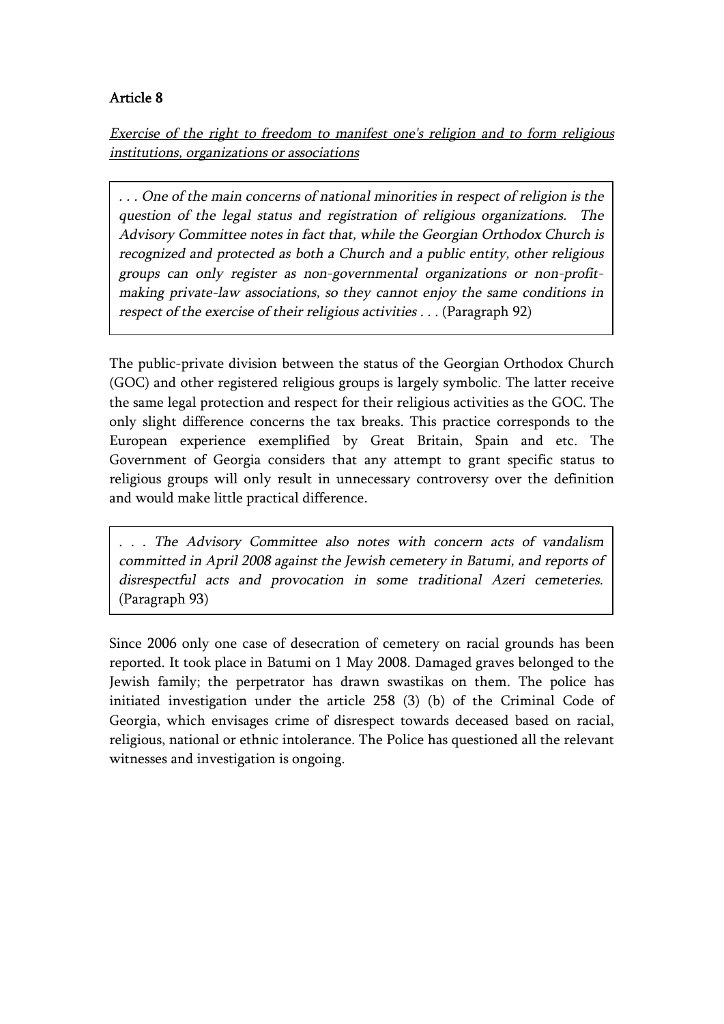# Article 8

Exercise of the right to freedom to manifest one's religion and to form religious institutions, organizations or associations

. . . One of the main concerns of national minorities in respect of religion is the question of the legal status and registration of religious organizations. The Advisory Committee notes in fact that, while the Georgian Orthodox Church is recognized and protected as both a Church and a public entity, other religious groups can only register as non-governmental organizations or non-profitmaking private-law associations, so they cannot enjoy the same conditions in respect of the exercise of their religious activities . . . (Paragraph 92)

The public-private division between the status of the Georgian Orthodox Church (GOC) and other registered religious groups is largely symbolic. The latter receive the same legal protection and respect for their religious activities as the GOC. The only slight difference concerns the tax breaks. This practice corresponds to the European experience exemplified by Great Britain, Spain and etc. The Government of Georgia considers that any attempt to grant specific status to religious groups will only result in unnecessary controversy over the definition and would make little practical difference.

. . . The Advisory Committee also notes with concern acts of vandalism committed in April 2008 against the Jewish cemetery in Batumi, and reports of disrespectful acts and provocation in some traditional Azeri cemeteries. (Paragraph 93)

Since 2006 only one case of desecration of cemetery on racial grounds has been reported. It took place in Batumi on 1 May 2008. Damaged graves belonged to the Jewish family; the perpetrator has drawn swastikas on them. The police has initiated investigation under the article 258 (3) (b) of the Criminal Code of Georgia, which envisages crime of disrespect towards deceased based on racial, religious, national or ethnic intolerance. The Police has questioned all the relevant witnesses and investigation is ongoing.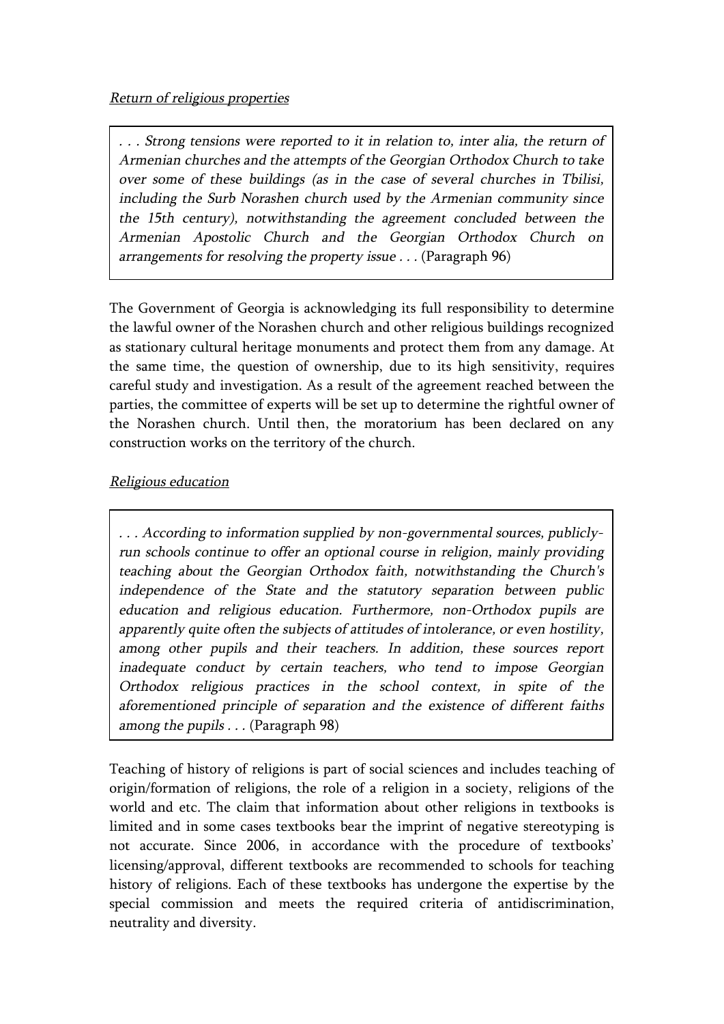. . . Strong tensions were reported to it in relation to, inter alia, the return of Armenian churches and the attempts of the Georgian Orthodox Church to take over some of these buildings (as in the case of several churches in Tbilisi, including the Surb Norashen church used by the Armenian community since the 15th century), notwithstanding the agreement concluded between the Armenian Apostolic Church and the Georgian Orthodox Church on arrangements for resolving the property issue . . . (Paragraph 96)

The Government of Georgia is acknowledging its full responsibility to determine the lawful owner of the Norashen church and other religious buildings recognized as stationary cultural heritage monuments and protect them from any damage. At the same time, the question of ownership, due to its high sensitivity, requires careful study and investigation. As a result of the agreement reached between the parties, the committee of experts will be set up to determine the rightful owner of the Norashen church. Until then, the moratorium has been declared on any construction works on the territory of the church.

## Religious education

. . . According to information supplied by non-governmental sources, publiclyrun schools continue to offer an optional course in religion, mainly providing teaching about the Georgian Orthodox faith, notwithstanding the Church's independence of the State and the statutory separation between public education and religious education. Furthermore, non-Orthodox pupils are apparently quite often the subjects of attitudes of intolerance, or even hostility, among other pupils and their teachers. In addition, these sources report inadequate conduct by certain teachers, who tend to impose Georgian Orthodox religious practices in the school context, in spite of the aforementioned principle of separation and the existence of different faiths among the pupils . . . (Paragraph 98)

Teaching of history of religions is part of social sciences and includes teaching of origin/formation of religions, the role of a religion in a society, religions of the world and etc. The claim that information about other religions in textbooks is limited and in some cases textbooks bear the imprint of negative stereotyping is not accurate. Since 2006, in accordance with the procedure of textbooks' licensing/approval, different textbooks are recommended to schools for teaching history of religions. Each of these textbooks has undergone the expertise by the special commission and meets the required criteria of antidiscrimination, neutrality and diversity.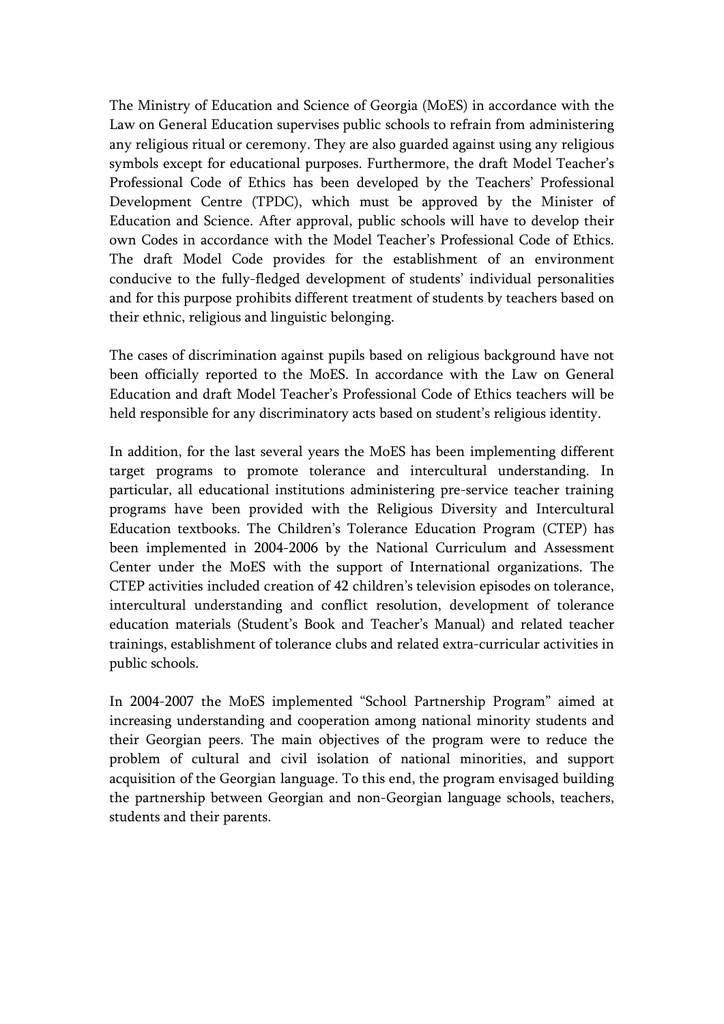The Ministry of Education and Science of Georgia (MoES) in accordance with the Law on General Education supervises public schools to refrain from administering any religious ritual or ceremony. They are also guarded against using any religious symbols except for educational purposes. Furthermore, the draft Model Teacher's Professional Code of Ethics has been developed by the Teachers' Professional Development Centre (TPDC), which must be approved by the Minister of Education and Science. After approval, public schools will have to develop their own Codes in accordance with the Model Teacher's Professional Code of Ethics. The draft Model Code provides for the establishment of an environment conducive to the fully-fledged development of students' individual personalities and for this purpose prohibits different treatment of students by teachers based on their ethnic, religious and linguistic belonging.

The cases of discrimination against pupils based on religious background have not been officially reported to the MoES. In accordance with the Law on General Education and draft Model Teacher's Professional Code of Ethics teachers will be held responsible for any discriminatory acts based on student's religious identity.

In addition, for the last several years the MoES has been implementing different target programs to promote tolerance and intercultural understanding. In particular, all educational institutions administering pre-service teacher training programs have been provided with the Religious Diversity and Intercultural Education textbooks. The Children's Tolerance Education Program (CTEP) has been implemented in 2004-2006 by the National Curriculum and Assessment Center under the MoES with the support of International organizations. The CTEP activities included creation of 42 children's television episodes on tolerance, intercultural understanding and conflict resolution, development of tolerance education materials (Student's Book and Teacher's Manual) and related teacher trainings, establishment of tolerance clubs and related extra-curricular activities in public schools.

In 2004-2007 the MoES implemented "School Partnership Program" aimed at increasing understanding and cooperation among national minority students and their Georgian peers. The main objectives of the program were to reduce the problem of cultural and civil isolation of national minorities, and support acquisition of the Georgian language. To this end, the program envisaged building the partnership between Georgian and non-Georgian language schools, teachers, students and their parents.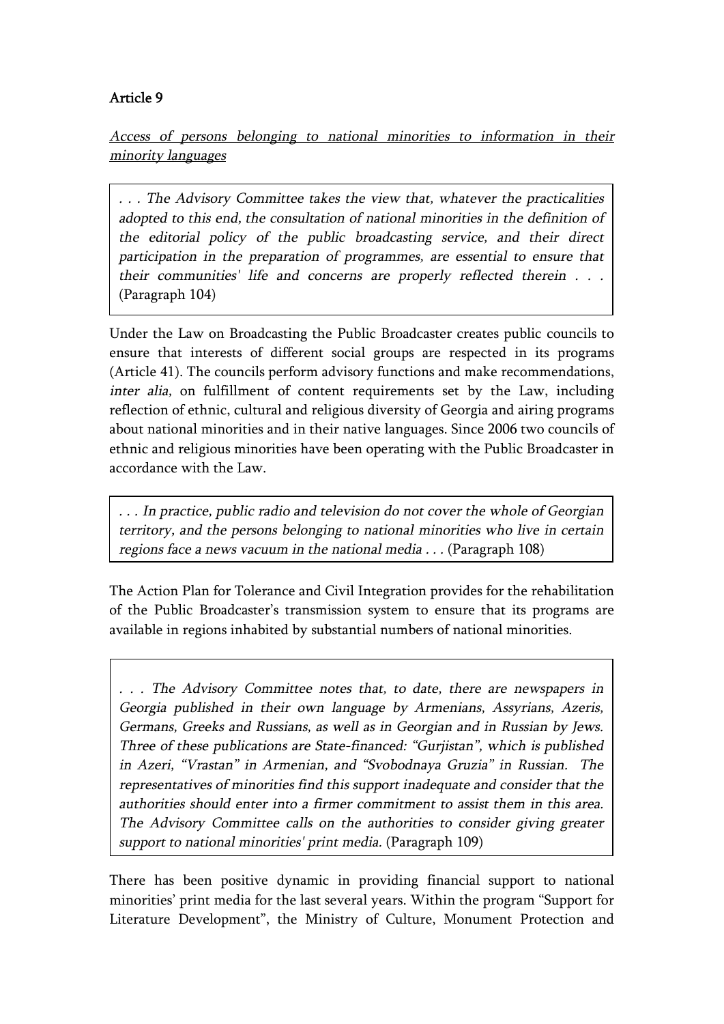# Article 9

Access of persons belonging to national minorities to information in their minority languages

. . . The Advisory Committee takes the view that, whatever the practicalities adopted to this end, the consultation of national minorities in the definition of the editorial policy of the public broadcasting service, and their direct participation in the preparation of programmes, are essential to ensure that their communities' life and concerns are properly reflected therein . . . (Paragraph 104)

Under the Law on Broadcasting the Public Broadcaster creates public councils to ensure that interests of different social groups are respected in its programs (Article 41). The councils perform advisory functions and make recommendations, inter alia, on fulfillment of content requirements set by the Law, including reflection of ethnic, cultural and religious diversity of Georgia and airing programs about national minorities and in their native languages. Since 2006 two councils of ethnic and religious minorities have been operating with the Public Broadcaster in accordance with the Law.

. . . In practice, public radio and television do not cover the whole of Georgian territory, and the persons belonging to national minorities who live in certain regions face a news vacuum in the national media . . . (Paragraph 108)

The Action Plan for Tolerance and Civil Integration provides for the rehabilitation of the Public Broadcaster's transmission system to ensure that its programs are available in regions inhabited by substantial numbers of national minorities.

. . . The Advisory Committee notes that, to date, there are newspapers in Georgia published in their own language by Armenians, Assyrians, Azeris, Germans, Greeks and Russians, as well as in Georgian and in Russian by Jews. Three of these publications are State-financed: "Gurjistan", which is published in Azeri, "Vrastan" in Armenian, and "Svobodnaya Gruzia" in Russian. The representatives of minorities find this support inadequate and consider that the authorities should enter into a firmer commitment to assist them in this area. The Advisory Committee calls on the authorities to consider giving greater support to national minorities' print media. (Paragraph 109)

There has been positive dynamic in providing financial support to national minorities' print media for the last several years. Within the program "Support for Literature Development", the Ministry of Culture, Monument Protection and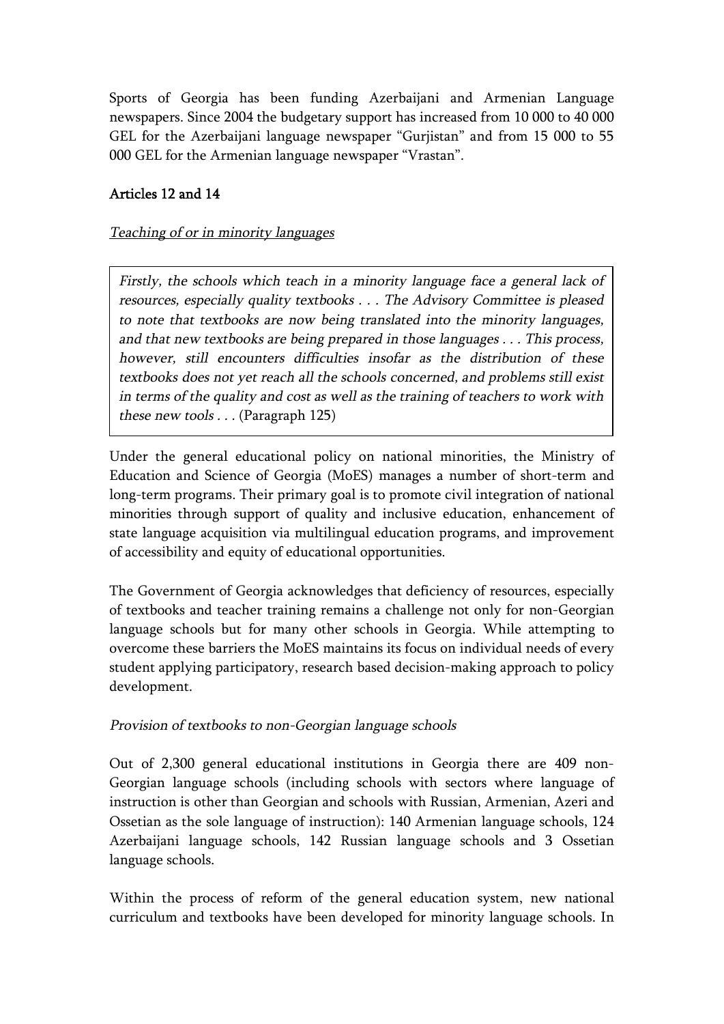Sports of Georgia has been funding Azerbaijani and Armenian Language newspapers. Since 2004 the budgetary support has increased from 10 000 to 40 000 GEL for the Azerbaijani language newspaper "Gurjistan" and from 15 000 to 55 000 GEL for the Armenian language newspaper "Vrastan".

## Articles 12 and 14

#### Teaching of or in minority languages

Firstly, the schools which teach in a minority language face a general lack of resources, especially quality textbooks . . . The Advisory Committee is pleased to note that textbooks are now being translated into the minority languages, and that new textbooks are being prepared in those languages . . . This process, however, still encounters difficulties insofar as the distribution of these textbooks does not yet reach all the schools concerned, and problems still exist in terms of the quality and cost as well as the training of teachers to work with these new tools . . . (Paragraph 125)

Under the general educational policy on national minorities, the Ministry of Education and Science of Georgia (MoES) manages a number of short-term and long-term programs. Their primary goal is to promote civil integration of national minorities through support of quality and inclusive education, enhancement of state language acquisition via multilingual education programs, and improvement of accessibility and equity of educational opportunities.

The Government of Georgia acknowledges that deficiency of resources, especially of textbooks and teacher training remains a challenge not only for non-Georgian language schools but for many other schools in Georgia. While attempting to overcome these barriers the MoES maintains its focus on individual needs of every student applying participatory, research based decision-making approach to policy development.

#### Provision of textbooks to non-Georgian language schools

Out of 2,300 general educational institutions in Georgia there are 409 non-Georgian language schools (including schools with sectors where language of instruction is other than Georgian and schools with Russian, Armenian, Azeri and Ossetian as the sole language of instruction): 140 Armenian language schools, 124 Azerbaijani language schools, 142 Russian language schools and 3 Ossetian language schools.

Within the process of reform of the general education system, new national curriculum and textbooks have been developed for minority language schools. In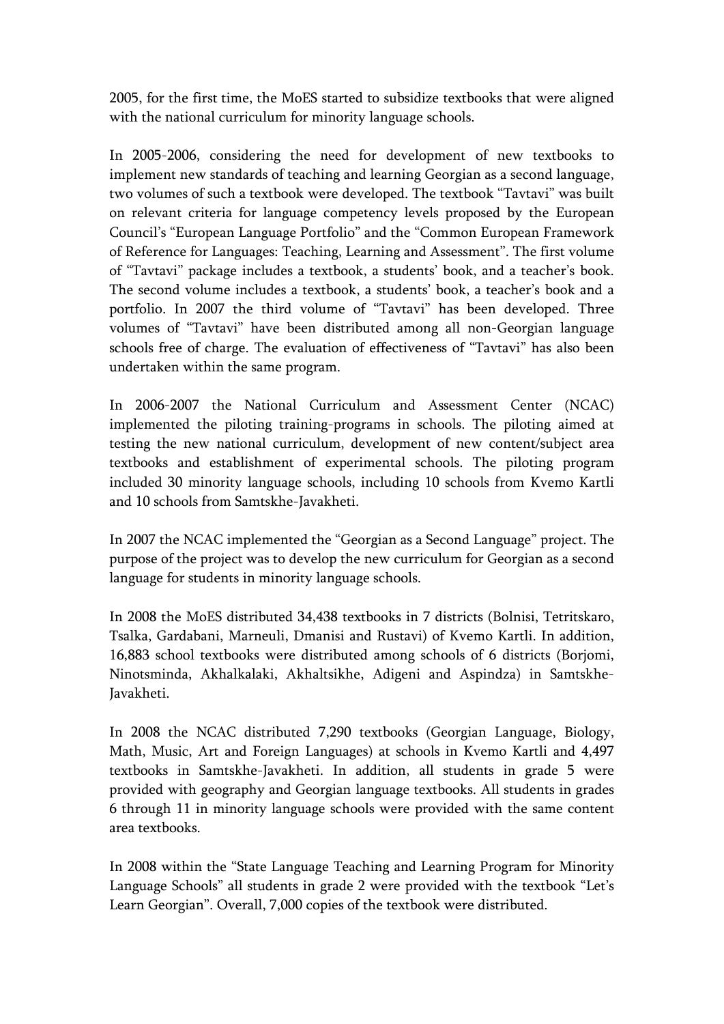2005, for the first time, the MoES started to subsidize textbooks that were aligned with the national curriculum for minority language schools.

In 2005-2006, considering the need for development of new textbooks to implement new standards of teaching and learning Georgian as a second language, two volumes of such a textbook were developed. The textbook "Tavtavi" was built on relevant criteria for language competency levels proposed by the European Council's "European Language Portfolio" and the "Common European Framework of Reference for Languages: Teaching, Learning and Assessment". The first volume of "Tavtavi" package includes a textbook, a students' book, and a teacher's book. The second volume includes a textbook, a students' book, a teacher's book and a portfolio. In 2007 the third volume of "Tavtavi" has been developed. Three volumes of "Tavtavi" have been distributed among all non-Georgian language schools free of charge. The evaluation of effectiveness of "Tavtavi" has also been undertaken within the same program.

In 2006-2007 the National Curriculum and Assessment Center (NCAC) implemented the piloting training-programs in schools. The piloting aimed at testing the new national curriculum, development of new content/subject area textbooks and establishment of experimental schools. The piloting program included 30 minority language schools, including 10 schools from Kvemo Kartli and 10 schools from Samtskhe-Javakheti.

In 2007 the NCAC implemented the "Georgian as a Second Language" project. The purpose of the project was to develop the new curriculum for Georgian as a second language for students in minority language schools.

In 2008 the MoES distributed 34,438 textbooks in 7 districts (Bolnisi, Tetritskaro, Tsalka, Gardabani, Marneuli, Dmanisi and Rustavi) of Kvemo Kartli. In addition, 16,883 school textbooks were distributed among schools of 6 districts (Borjomi, Ninotsminda, Akhalkalaki, Akhaltsikhe, Adigeni and Aspindza) in Samtskhe-Javakheti.

In 2008 the NCAC distributed 7,290 textbooks (Georgian Language, Biology, Math, Music, Art and Foreign Languages) at schools in Kvemo Kartli and 4,497 textbooks in Samtskhe-Javakheti. In addition, all students in grade 5 were provided with geography and Georgian language textbooks. All students in grades 6 through 11 in minority language schools were provided with the same content area textbooks.

In 2008 within the "State Language Teaching and Learning Program for Minority Language Schools" all students in grade 2 were provided with the textbook "Let's Learn Georgian". Overall, 7,000 copies of the textbook were distributed.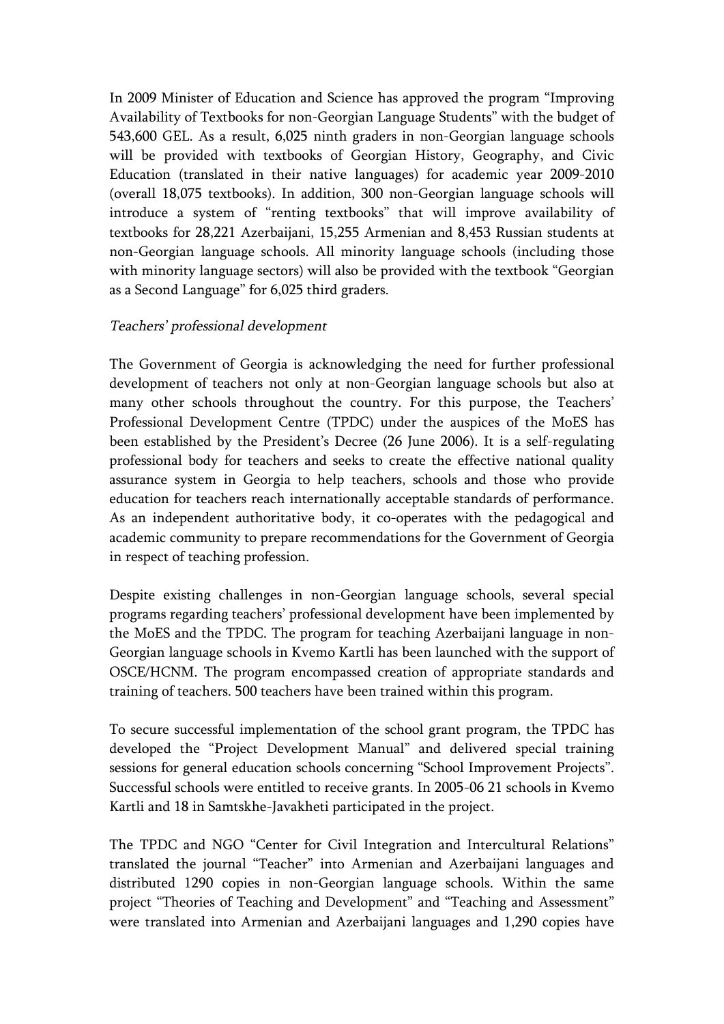In 2009 Minister of Education and Science has approved the program "Improving Availability of Textbooks for non-Georgian Language Students" with the budget of 543,600 GEL. As a result, 6,025 ninth graders in non-Georgian language schools will be provided with textbooks of Georgian History, Geography, and Civic Education (translated in their native languages) for academic year 2009-2010 (overall 18,075 textbooks). In addition, 300 non-Georgian language schools will introduce a system of "renting textbooks" that will improve availability of textbooks for 28,221 Azerbaijani, 15,255 Armenian and 8,453 Russian students at non-Georgian language schools. All minority language schools (including those with minority language sectors) will also be provided with the textbook "Georgian as a Second Language" for 6,025 third graders.

#### Teachers' professional development

The Government of Georgia is acknowledging the need for further professional development of teachers not only at non-Georgian language schools but also at many other schools throughout the country. For this purpose, the Teachers' Professional Development Centre (TPDC) under the auspices of the MoES has been established by the President's Decree (26 June 2006). It is a self-regulating professional body for teachers and seeks to create the effective national quality assurance system in Georgia to help teachers, schools and those who provide education for teachers reach internationally acceptable standards of performance. As an independent authoritative body, it co-operates with the pedagogical and academic community to prepare recommendations for the Government of Georgia in respect of teaching profession.

Despite existing challenges in non-Georgian language schools, several special programs regarding teachers' professional development have been implemented by the MoES and the TPDC. The program for teaching Azerbaijani language in non-Georgian language schools in Kvemo Kartli has been launched with the support of OSCE/HCNM. The program encompassed creation of appropriate standards and training of teachers. 500 teachers have been trained within this program.

To secure successful implementation of the school grant program, the TPDC has developed the "Project Development Manual" and delivered special training sessions for general education schools concerning "School Improvement Projects". Successful schools were entitled to receive grants. In 2005-06 21 schools in Kvemo Kartli and 18 in Samtskhe-Javakheti participated in the project.

The TPDC and NGO "Center for Civil Integration and Intercultural Relations" translated the journal "Teacher" into Armenian and Azerbaijani languages and distributed 1290 copies in non-Georgian language schools. Within the same project "Theories of Teaching and Development" and "Teaching and Assessment" were translated into Armenian and Azerbaijani languages and 1,290 copies have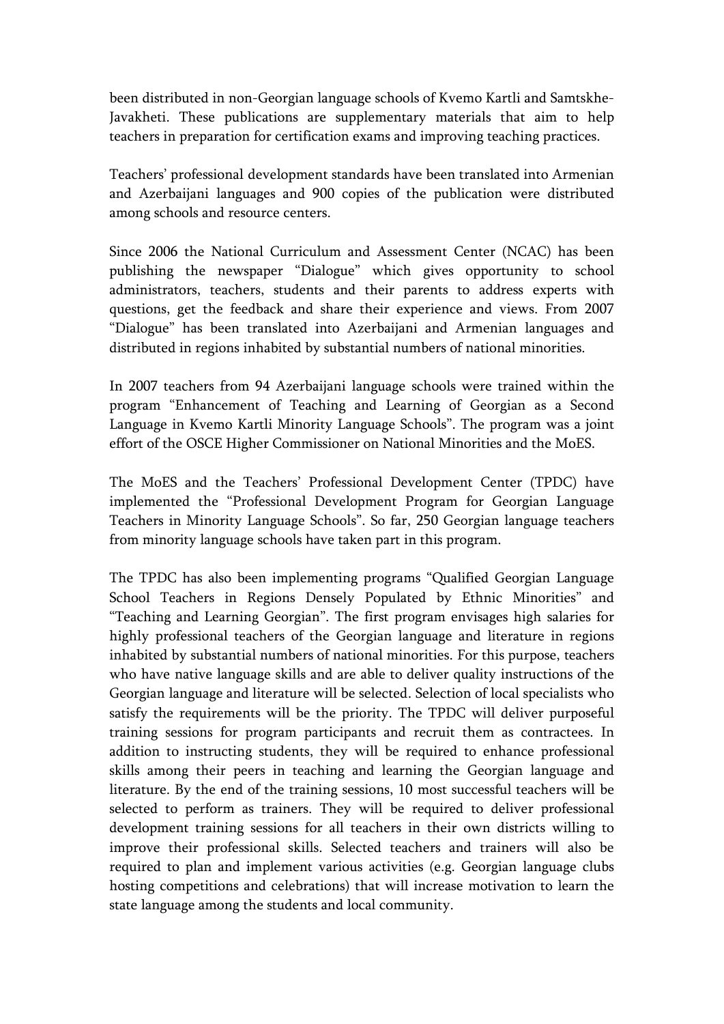been distributed in non-Georgian language schools of Kvemo Kartli and Samtskhe-Javakheti. These publications are supplementary materials that aim to help teachers in preparation for certification exams and improving teaching practices.

Teachers' professional development standards have been translated into Armenian and Azerbaijani languages and 900 copies of the publication were distributed among schools and resource centers.

Since 2006 the National Curriculum and Assessment Center (NCAC) has been publishing the newspaper "Dialogue" which gives opportunity to school administrators, teachers, students and their parents to address experts with questions, get the feedback and share their experience and views. From 2007 "Dialogue" has been translated into Azerbaijani and Armenian languages and distributed in regions inhabited by substantial numbers of national minorities.

In 2007 teachers from 94 Azerbaijani language schools were trained within the program "Enhancement of Teaching and Learning of Georgian as a Second Language in Kvemo Kartli Minority Language Schools". The program was a joint effort of the OSCE Higher Commissioner on National Minorities and the MoES.

The MoES and the Teachers' Professional Development Center (TPDC) have implemented the "Professional Development Program for Georgian Language Teachers in Minority Language Schools". So far, 250 Georgian language teachers from minority language schools have taken part in this program.

The TPDC has also been implementing programs "Qualified Georgian Language School Teachers in Regions Densely Populated by Ethnic Minorities" and "Teaching and Learning Georgian". The first program envisages high salaries for highly professional teachers of the Georgian language and literature in regions inhabited by substantial numbers of national minorities. For this purpose, teachers who have native language skills and are able to deliver quality instructions of the Georgian language and literature will be selected. Selection of local specialists who satisfy the requirements will be the priority. The TPDC will deliver purposeful training sessions for program participants and recruit them as contractees. In addition to instructing students, they will be required to enhance professional skills among their peers in teaching and learning the Georgian language and literature. By the end of the training sessions, 10 most successful teachers will be selected to perform as trainers. They will be required to deliver professional development training sessions for all teachers in their own districts willing to improve their professional skills. Selected teachers and trainers will also be required to plan and implement various activities (e.g. Georgian language clubs hosting competitions and celebrations) that will increase motivation to learn the state language among the students and local community.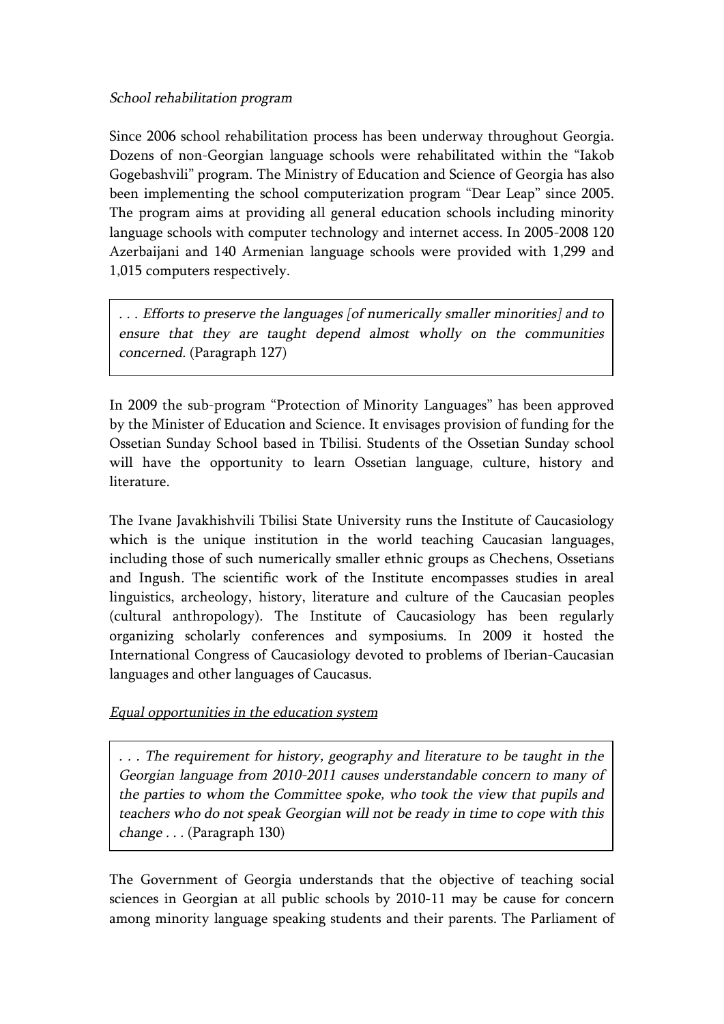### School rehabilitation program

Since 2006 school rehabilitation process has been underway throughout Georgia. Dozens of non-Georgian language schools were rehabilitated within the "Iakob Gogebashvili" program. The Ministry of Education and Science of Georgia has also been implementing the school computerization program "Dear Leap" since 2005. The program aims at providing all general education schools including minority language schools with computer technology and internet access. In 2005-2008 120 Azerbaijani and 140 Armenian language schools were provided with 1,299 and 1,015 computers respectively.

. . . Efforts to preserve the languages [of numerically smaller minorities] and to ensure that they are taught depend almost wholly on the communities concerned. (Paragraph 127)

In 2009 the sub-program "Protection of Minority Languages" has been approved by the Minister of Education and Science. It envisages provision of funding for the Ossetian Sunday School based in Tbilisi. Students of the Ossetian Sunday school will have the opportunity to learn Ossetian language, culture, history and literature.

The Ivane Javakhishvili Tbilisi State University runs the Institute of Caucasiology which is the unique institution in the world teaching Caucasian languages, including those of such numerically smaller ethnic groups as Chechens, Ossetians and Ingush. The scientific work of the Institute encompasses studies in areal linguistics, archeology, history, literature and culture of the Caucasian peoples (cultural anthropology). The Institute of Caucasiology has been regularly organizing scholarly conferences and symposiums. In 2009 it hosted the International Congress of Caucasiology devoted to problems of Iberian-Caucasian languages and other languages of Caucasus.

## Equal opportunities in the education system

. . . The requirement for history, geography and literature to be taught in the Georgian language from 2010-2011 causes understandable concern to many of the parties to whom the Committee spoke, who took the view that pupils and teachers who do not speak Georgian will not be ready in time to cope with this change . . . (Paragraph 130)

The Government of Georgia understands that the objective of teaching social sciences in Georgian at all public schools by 2010-11 may be cause for concern among minority language speaking students and their parents. The Parliament of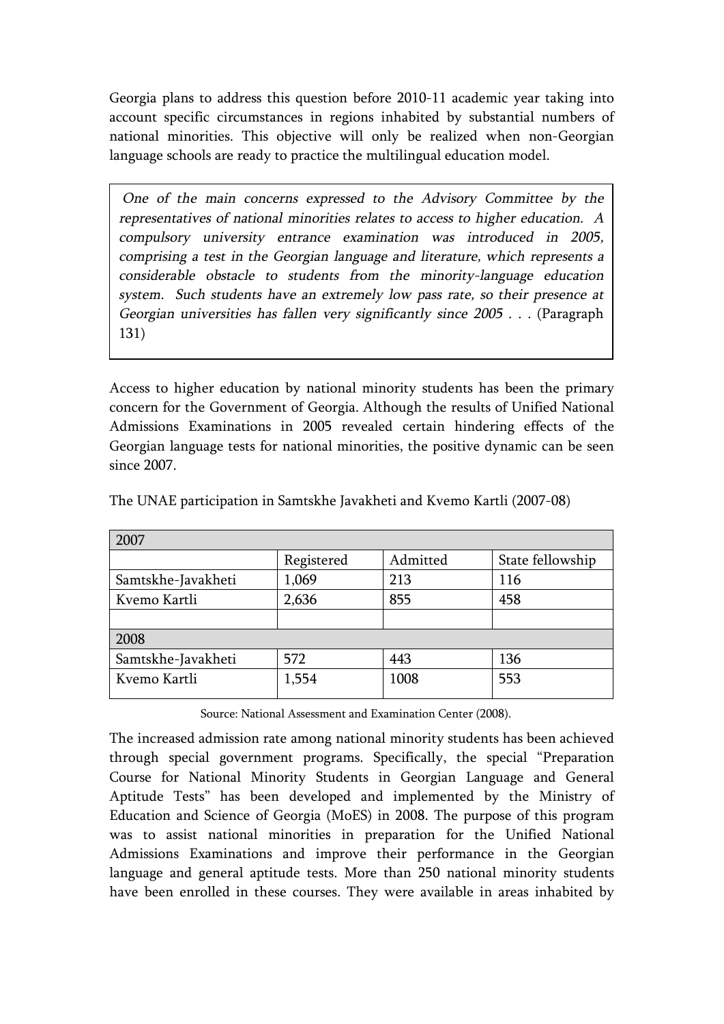Georgia plans to address this question before 2010-11 academic year taking into account specific circumstances in regions inhabited by substantial numbers of national minorities. This objective will only be realized when non-Georgian language schools are ready to practice the multilingual education model.

One of the main concerns expressed to the Advisory Committee by the representatives of national minorities relates to access to higher education. A compulsory university entrance examination was introduced in 2005, comprising a test in the Georgian language and literature, which represents a considerable obstacle to students from the minority-language education system. Such students have an extremely low pass rate, so their presence at Georgian universities has fallen very significantly since 2005 . . . (Paragraph 131)

Access to higher education by national minority students has been the primary concern for the Government of Georgia. Although the results of Unified National Admissions Examinations in 2005 revealed certain hindering effects of the Georgian language tests for national minorities, the positive dynamic can be seen since 2007.

| 2007               |            |          |                  |
|--------------------|------------|----------|------------------|
|                    | Registered | Admitted | State fellowship |
| Samtskhe-Javakheti | 1,069      | 213      | 116              |
| Kvemo Kartli       | 2,636      | 855      | 458              |
|                    |            |          |                  |
| 2008               |            |          |                  |
| Samtskhe-Javakheti | 572        | 443      | 136              |
| Kvemo Kartli       | 1,554      | 1008     | 553              |

The UNAE participation in Samtskhe Javakheti and Kvemo Kartli (2007-08)

Source: National Assessment and Examination Center (2008).

The increased admission rate among national minority students has been achieved through special government programs. Specifically, the special "Preparation Course for National Minority Students in Georgian Language and General Aptitude Tests" has been developed and implemented by the Ministry of Education and Science of Georgia (MoES) in 2008. The purpose of this program was to assist national minorities in preparation for the Unified National Admissions Examinations and improve their performance in the Georgian language and general aptitude tests. More than 250 national minority students have been enrolled in these courses. They were available in areas inhabited by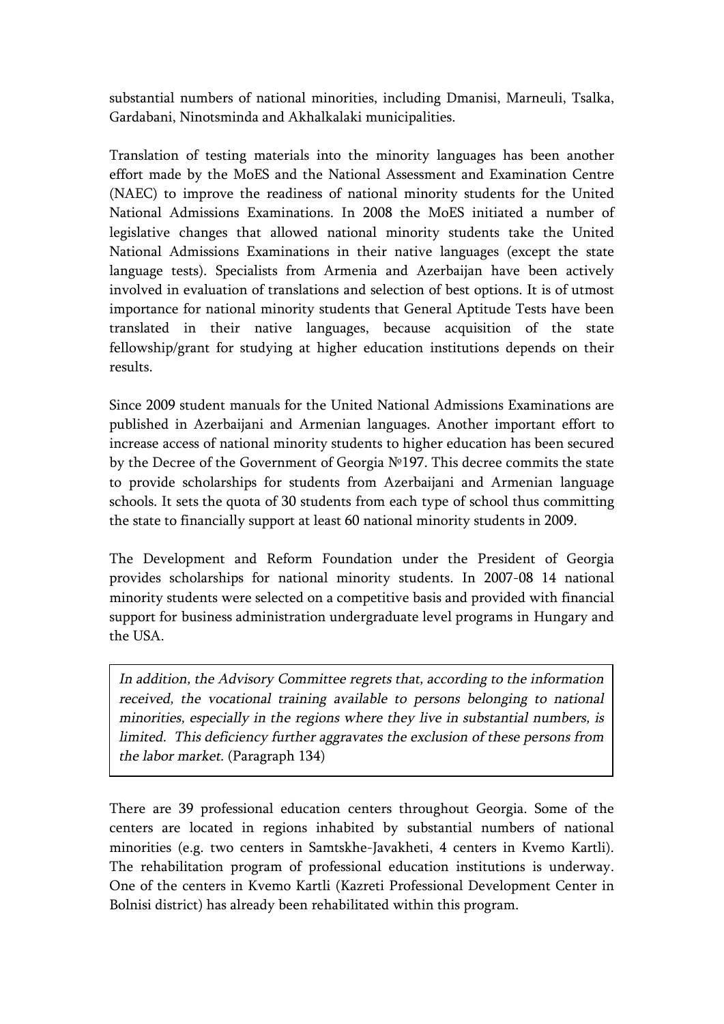substantial numbers of national minorities, including Dmanisi, Marneuli, Tsalka, Gardabani, Ninotsminda and Akhalkalaki municipalities.

Translation of testing materials into the minority languages has been another effort made by the MoES and the National Assessment and Examination Centre (NAEC) to improve the readiness of national minority students for the United National Admissions Examinations. In 2008 the MoES initiated a number of legislative changes that allowed national minority students take the United National Admissions Examinations in their native languages (except the state language tests). Specialists from Armenia and Azerbaijan have been actively involved in evaluation of translations and selection of best options. It is of utmost importance for national minority students that General Aptitude Tests have been translated in their native languages, because acquisition of the state fellowship/grant for studying at higher education institutions depends on their results.

Since 2009 student manuals for the United National Admissions Examinations are published in Azerbaijani and Armenian languages. Another important effort to increase access of national minority students to higher education has been secured by the Decree of the Government of Georgia №197. This decree commits the state to provide scholarships for students from Azerbaijani and Armenian language schools. It sets the quota of 30 students from each type of school thus committing the state to financially support at least 60 national minority students in 2009.

The Development and Reform Foundation under the President of Georgia provides scholarships for national minority students. In 2007-08 14 national minority students were selected on a competitive basis and provided with financial support for business administration undergraduate level programs in Hungary and the USA.

In addition, the Advisory Committee regrets that, according to the information received, the vocational training available to persons belonging to national minorities, especially in the regions where they live in substantial numbers, is limited. This deficiency further aggravates the exclusion of these persons from the labor market. (Paragraph 134)

There are 39 professional education centers throughout Georgia. Some of the centers are located in regions inhabited by substantial numbers of national minorities (e.g. two centers in Samtskhe-Javakheti, 4 centers in Kvemo Kartli). The rehabilitation program of professional education institutions is underway. One of the centers in Kvemo Kartli (Kazreti Professional Development Center in Bolnisi district) has already been rehabilitated within this program.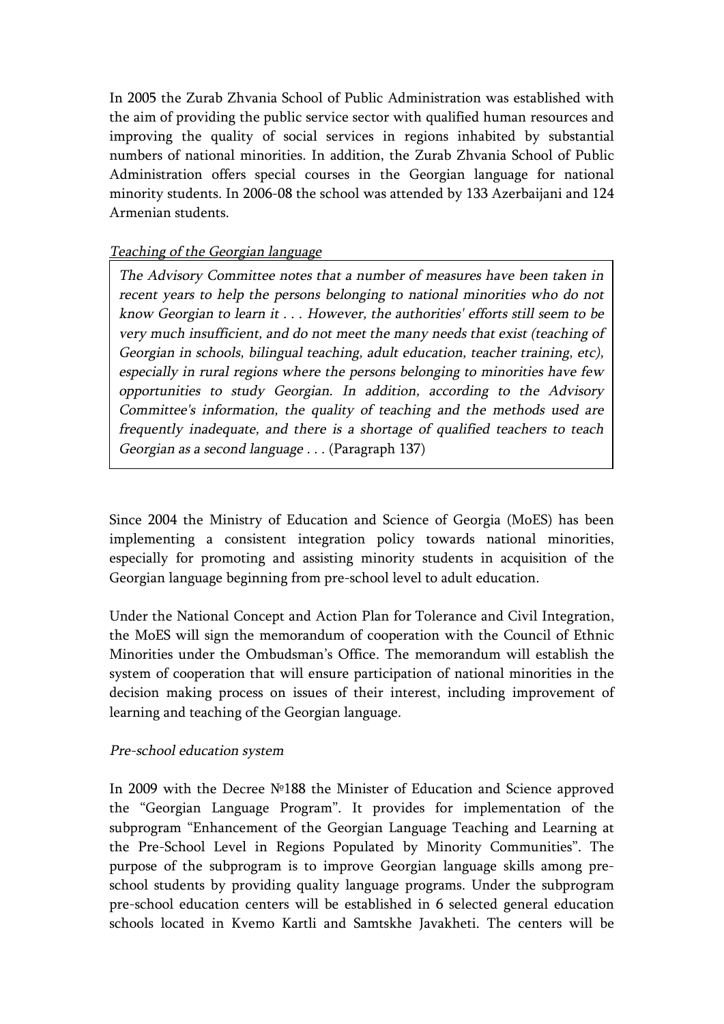In 2005 the Zurab Zhvania School of Public Administration was established with the aim of providing the public service sector with qualified human resources and improving the quality of social services in regions inhabited by substantial numbers of national minorities. In addition, the Zurab Zhvania School of Public Administration offers special courses in the Georgian language for national minority students. In 2006-08 the school was attended by 133 Azerbaijani and 124 Armenian students.

# Teaching of the Georgian language

The Advisory Committee notes that a number of measures have been taken in recent years to help the persons belonging to national minorities who do not know Georgian to learn it . . . However, the authorities' efforts still seem to be very much insufficient, and do not meet the many needs that exist (teaching of Georgian in schools, bilingual teaching, adult education, teacher training, etc), especially in rural regions where the persons belonging to minorities have few opportunities to study Georgian. In addition, according to the Advisory Committee's information, the quality of teaching and the methods used are frequently inadequate, and there is a shortage of qualified teachers to teach Georgian as a second language . . . (Paragraph 137)

Since 2004 the Ministry of Education and Science of Georgia (MoES) has been implementing a consistent integration policy towards national minorities, especially for promoting and assisting minority students in acquisition of the Georgian language beginning from pre-school level to adult education.

Under the National Concept and Action Plan for Tolerance and Civil Integration, the MoES will sign the memorandum of cooperation with the Council of Ethnic Minorities under the Ombudsman's Office. The memorandum will establish the system of cooperation that will ensure participation of national minorities in the decision making process on issues of their interest, including improvement of learning and teaching of the Georgian language.

## Pre-school education system

In 2009 with the Decree №188 the Minister of Education and Science approved the "Georgian Language Program". It provides for implementation of the subprogram "Enhancement of the Georgian Language Teaching and Learning at the Pre-School Level in Regions Populated by Minority Communities". The purpose of the subprogram is to improve Georgian language skills among preschool students by providing quality language programs. Under the subprogram pre-school education centers will be established in 6 selected general education schools located in Kvemo Kartli and Samtskhe Javakheti. The centers will be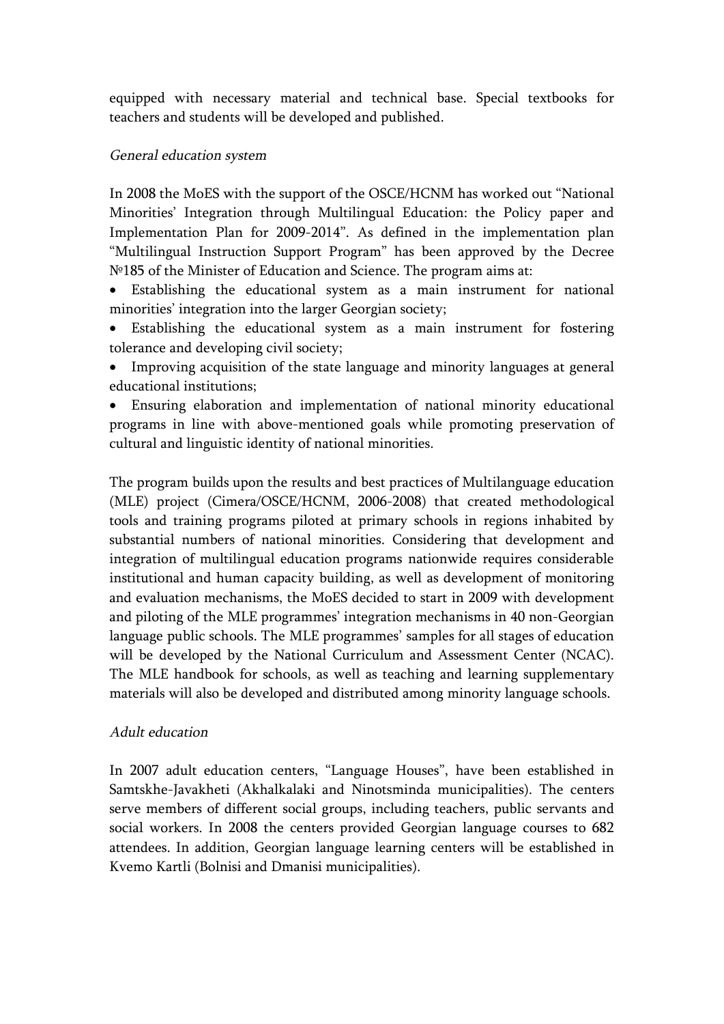equipped with necessary material and technical base. Special textbooks for teachers and students will be developed and published.

#### General education system

In 2008 the MoES with the support of the OSCE/HCNM has worked out "National Minorities' Integration through Multilingual Education: the Policy paper and Implementation Plan for 2009-2014". As defined in the implementation plan "Multilingual Instruction Support Program" has been approved by the Decree №185 of the Minister of Education and Science. The program aims at:

- Establishing the educational system as a main instrument for national minorities' integration into the larger Georgian society;
- Establishing the educational system as a main instrument for fostering tolerance and developing civil society;
- Improving acquisition of the state language and minority languages at general educational institutions;
- Ensuring elaboration and implementation of national minority educational programs in line with above-mentioned goals while promoting preservation of cultural and linguistic identity of national minorities.

The program builds upon the results and best practices of Multilanguage education (MLE) project (Cimera/OSCE/HCNM, 2006-2008) that created methodological tools and training programs piloted at primary schools in regions inhabited by substantial numbers of national minorities. Considering that development and integration of multilingual education programs nationwide requires considerable institutional and human capacity building, as well as development of monitoring and evaluation mechanisms, the MoES decided to start in 2009 with development and piloting of the MLE programmes' integration mechanisms in 40 non-Georgian language public schools. The MLE programmes' samples for all stages of education will be developed by the National Curriculum and Assessment Center (NCAC). The MLE handbook for schools, as well as teaching and learning supplementary materials will also be developed and distributed among minority language schools.

#### Adult education

In 2007 adult education centers, "Language Houses", have been established in Samtskhe-Javakheti (Akhalkalaki and Ninotsminda municipalities). The centers serve members of different social groups, including teachers, public servants and social workers. In 2008 the centers provided Georgian language courses to 682 attendees. In addition, Georgian language learning centers will be established in Kvemo Kartli (Bolnisi and Dmanisi municipalities).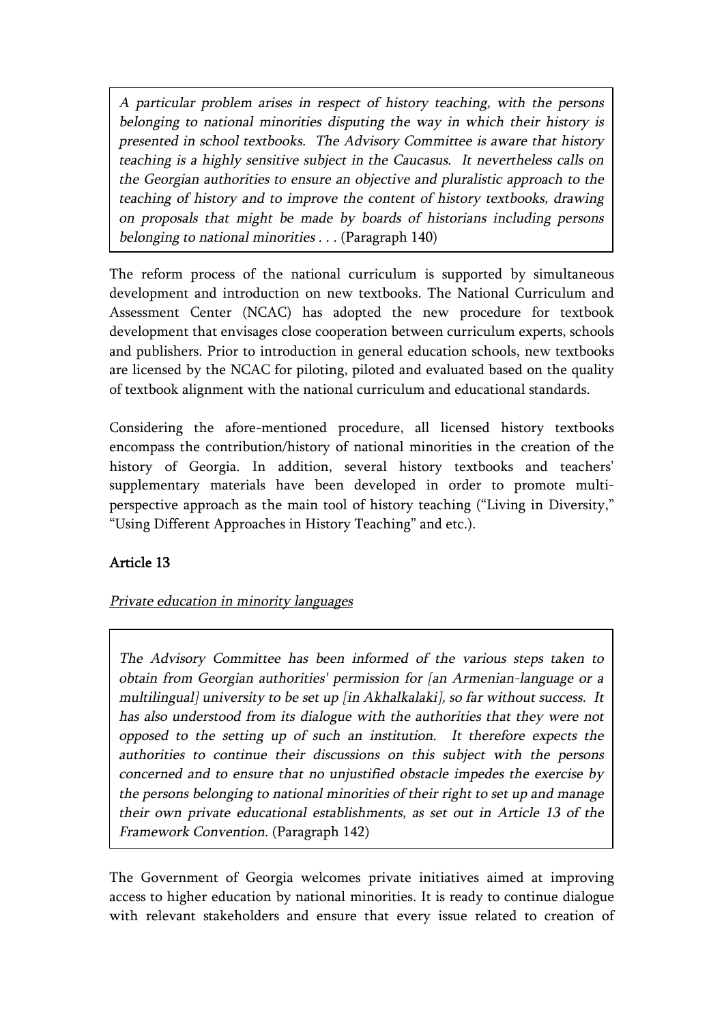A particular problem arises in respect of history teaching, with the persons belonging to national minorities disputing the way in which their history is presented in school textbooks. The Advisory Committee is aware that history teaching is a highly sensitive subject in the Caucasus. It nevertheless calls on the Georgian authorities to ensure an objective and pluralistic approach to the teaching of history and to improve the content of history textbooks, drawing on proposals that might be made by boards of historians including persons belonging to national minorities . . . (Paragraph 140)

The reform process of the national curriculum is supported by simultaneous development and introduction on new textbooks. The National Curriculum and Assessment Center (NCAC) has adopted the new procedure for textbook development that envisages close cooperation between curriculum experts, schools and publishers. Prior to introduction in general education schools, new textbooks are licensed by the NCAC for piloting, piloted and evaluated based on the quality of textbook alignment with the national curriculum and educational standards.

Considering the afore-mentioned procedure, all licensed history textbooks encompass the contribution/history of national minorities in the creation of the history of Georgia. In addition, several history textbooks and teachers' supplementary materials have been developed in order to promote multiperspective approach as the main tool of history teaching ("Living in Diversity," "Using Different Approaches in History Teaching" and etc.).

# Article 13

# Private education in minority languages

The Advisory Committee has been informed of the various steps taken to obtain from Georgian authorities' permission for [an Armenian-language or a multilingual] university to be set up [in Akhalkalaki], so far without success. It has also understood from its dialogue with the authorities that they were not opposed to the setting up of such an institution. It therefore expects the authorities to continue their discussions on this subject with the persons concerned and to ensure that no unjustified obstacle impedes the exercise by the persons belonging to national minorities of their right to set up and manage their own private educational establishments, as set out in Article 13 of the Framework Convention. (Paragraph 142)

The Government of Georgia welcomes private initiatives aimed at improving access to higher education by national minorities. It is ready to continue dialogue with relevant stakeholders and ensure that every issue related to creation of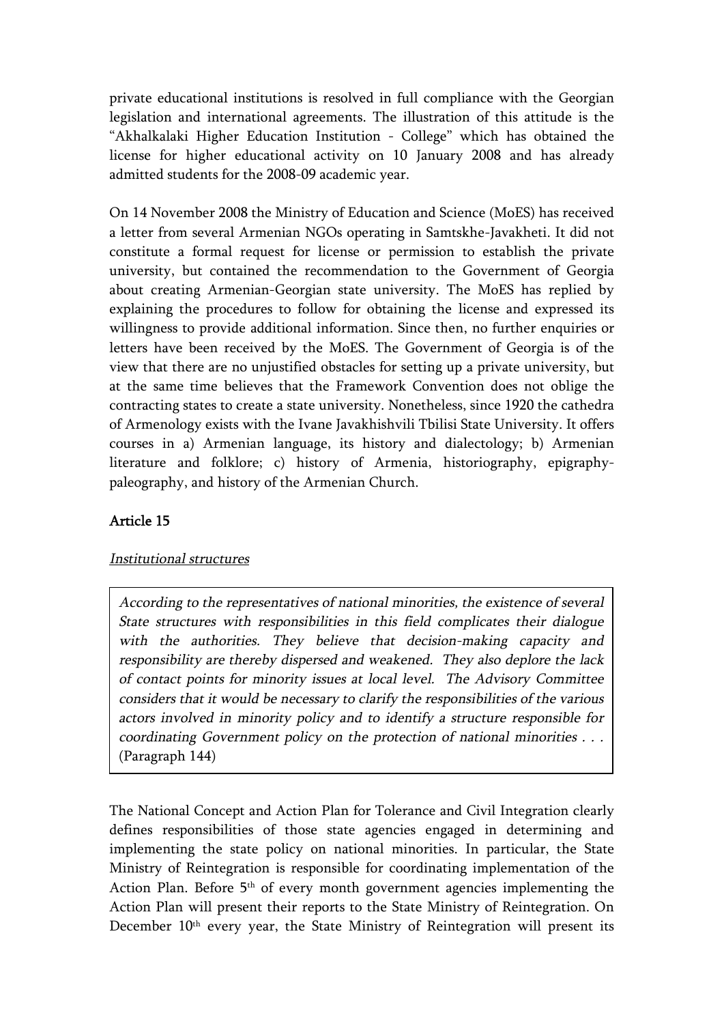private educational institutions is resolved in full compliance with the Georgian legislation and international agreements. The illustration of this attitude is the "Akhalkalaki Higher Education Institution - College" which has obtained the license for higher educational activity on 10 January 2008 and has already admitted students for the 2008-09 academic year.

On 14 November 2008 the Ministry of Education and Science (MoES) has received a letter from several Armenian NGOs operating in Samtskhe-Javakheti. It did not constitute a formal request for license or permission to establish the private university, but contained the recommendation to the Government of Georgia about creating Armenian-Georgian state university. The MoES has replied by explaining the procedures to follow for obtaining the license and expressed its willingness to provide additional information. Since then, no further enquiries or letters have been received by the MoES. The Government of Georgia is of the view that there are no unjustified obstacles for setting up a private university, but at the same time believes that the Framework Convention does not oblige the contracting states to create a state university. Nonetheless, since 1920 the cathedra of Armenology exists with the Ivane Javakhishvili Tbilisi State University. It offers courses in a) Armenian language, its history and dialectology; b) Armenian literature and folklore; c) history of Armenia, historiography, epigraphypaleography, and history of the Armenian Church.

# Article 15

#### Institutional structures

According to the representatives of national minorities, the existence of several State structures with responsibilities in this field complicates their dialogue with the authorities. They believe that decision-making capacity and responsibility are thereby dispersed and weakened. They also deplore the lack of contact points for minority issues at local level. The Advisory Committee considers that it would be necessary to clarify the responsibilities of the various actors involved in minority policy and to identify a structure responsible for coordinating Government policy on the protection of national minorities . . . (Paragraph 144)

The National Concept and Action Plan for Tolerance and Civil Integration clearly defines responsibilities of those state agencies engaged in determining and implementing the state policy on national minorities. In particular, the State Ministry of Reintegration is responsible for coordinating implementation of the Action Plan. Before 5<sup>th</sup> of every month government agencies implementing the Action Plan will present their reports to the State Ministry of Reintegration. On December 10<sup>th</sup> every year, the State Ministry of Reintegration will present its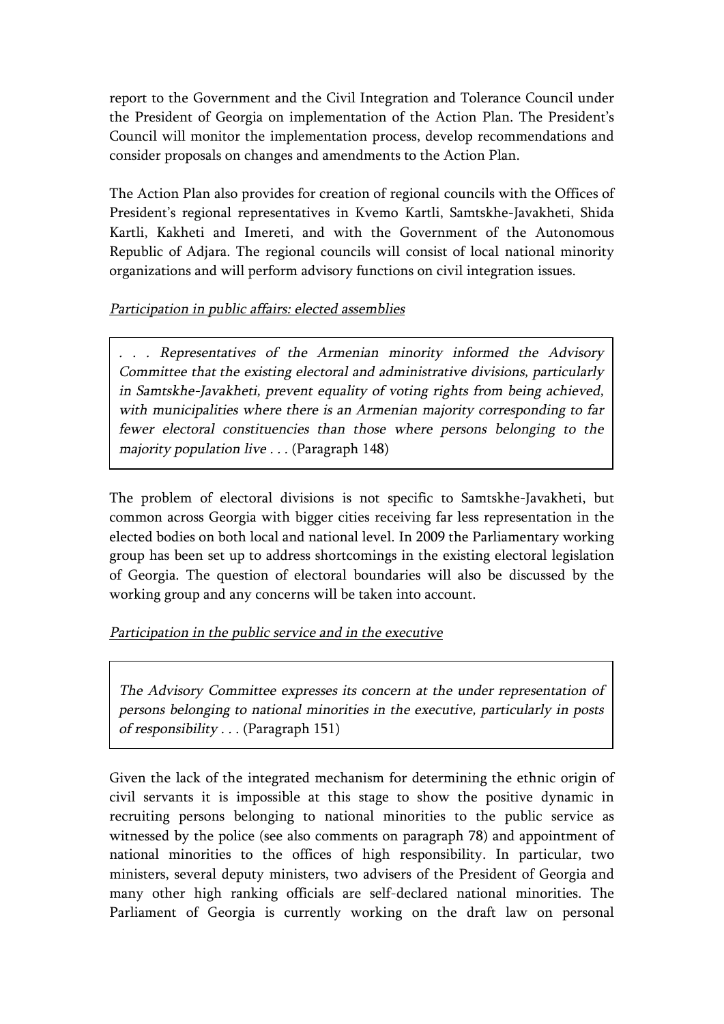report to the Government and the Civil Integration and Tolerance Council under the President of Georgia on implementation of the Action Plan. The President's Council will monitor the implementation process, develop recommendations and consider proposals on changes and amendments to the Action Plan.

The Action Plan also provides for creation of regional councils with the Offices of President's regional representatives in Kvemo Kartli, Samtskhe-Javakheti, Shida Kartli, Kakheti and Imereti, and with the Government of the Autonomous Republic of Adjara. The regional councils will consist of local national minority organizations and will perform advisory functions on civil integration issues.

### Participation in public affairs: elected assemblies

. . . Representatives of the Armenian minority informed the Advisory Committee that the existing electoral and administrative divisions, particularly in Samtskhe-Javakheti, prevent equality of voting rights from being achieved, with municipalities where there is an Armenian majority corresponding to far fewer electoral constituencies than those where persons belonging to the majority population live . . . (Paragraph 148)

The problem of electoral divisions is not specific to Samtskhe-Javakheti, but common across Georgia with bigger cities receiving far less representation in the elected bodies on both local and national level. In 2009 the Parliamentary working group has been set up to address shortcomings in the existing electoral legislation of Georgia. The question of electoral boundaries will also be discussed by the working group and any concerns will be taken into account.

## Participation in the public service and in the executive

The Advisory Committee expresses its concern at the under representation of persons belonging to national minorities in the executive, particularly in posts of responsibility . . . (Paragraph 151)

Given the lack of the integrated mechanism for determining the ethnic origin of civil servants it is impossible at this stage to show the positive dynamic in recruiting persons belonging to national minorities to the public service as witnessed by the police (see also comments on paragraph 78) and appointment of national minorities to the offices of high responsibility. In particular, two ministers, several deputy ministers, two advisers of the President of Georgia and many other high ranking officials are self-declared national minorities. The Parliament of Georgia is currently working on the draft law on personal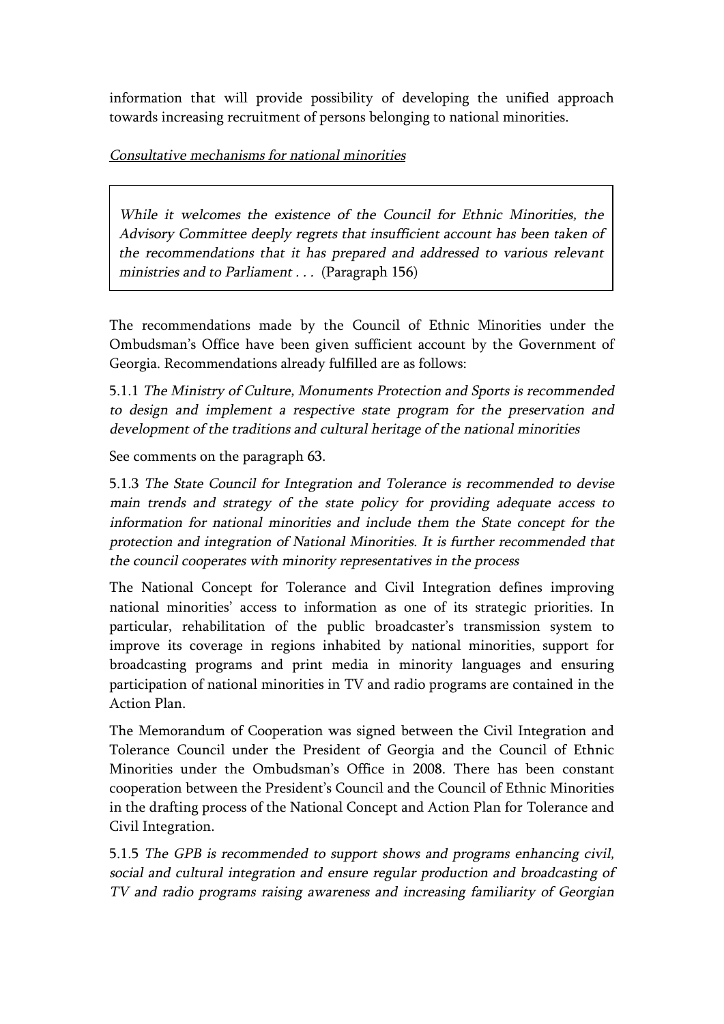information that will provide possibility of developing the unified approach towards increasing recruitment of persons belonging to national minorities.

### Consultative mechanisms for national minorities

While it welcomes the existence of the Council for Ethnic Minorities, the Advisory Committee deeply regrets that insufficient account has been taken of the recommendations that it has prepared and addressed to various relevant ministries and to Parliament . . . (Paragraph 156)

The recommendations made by the Council of Ethnic Minorities under the Ombudsman's Office have been given sufficient account by the Government of Georgia. Recommendations already fulfilled are as follows:

5.1.1 The Ministry of Culture, Monuments Protection and Sports is recommended to design and implement a respective state program for the preservation and development of the traditions and cultural heritage of the national minorities

See comments on the paragraph 63.

5.1.3 The State Council for Integration and Tolerance is recommended to devise main trends and strategy of the state policy for providing adequate access to information for national minorities and include them the State concept for the protection and integration of National Minorities. It is further recommended that the council cooperates with minority representatives in the process

The National Concept for Tolerance and Civil Integration defines improving national minorities' access to information as one of its strategic priorities. In particular, rehabilitation of the public broadcaster's transmission system to improve its coverage in regions inhabited by national minorities, support for broadcasting programs and print media in minority languages and ensuring participation of national minorities in TV and radio programs are contained in the Action Plan.

The Memorandum of Cooperation was signed between the Civil Integration and Tolerance Council under the President of Georgia and the Council of Ethnic Minorities under the Ombudsman's Office in 2008. There has been constant cooperation between the President's Council and the Council of Ethnic Minorities in the drafting process of the National Concept and Action Plan for Tolerance and Civil Integration.

5.1.5 The GPB is recommended to support shows and programs enhancing civil, social and cultural integration and ensure regular production and broadcasting of TV and radio programs raising awareness and increasing familiarity of Georgian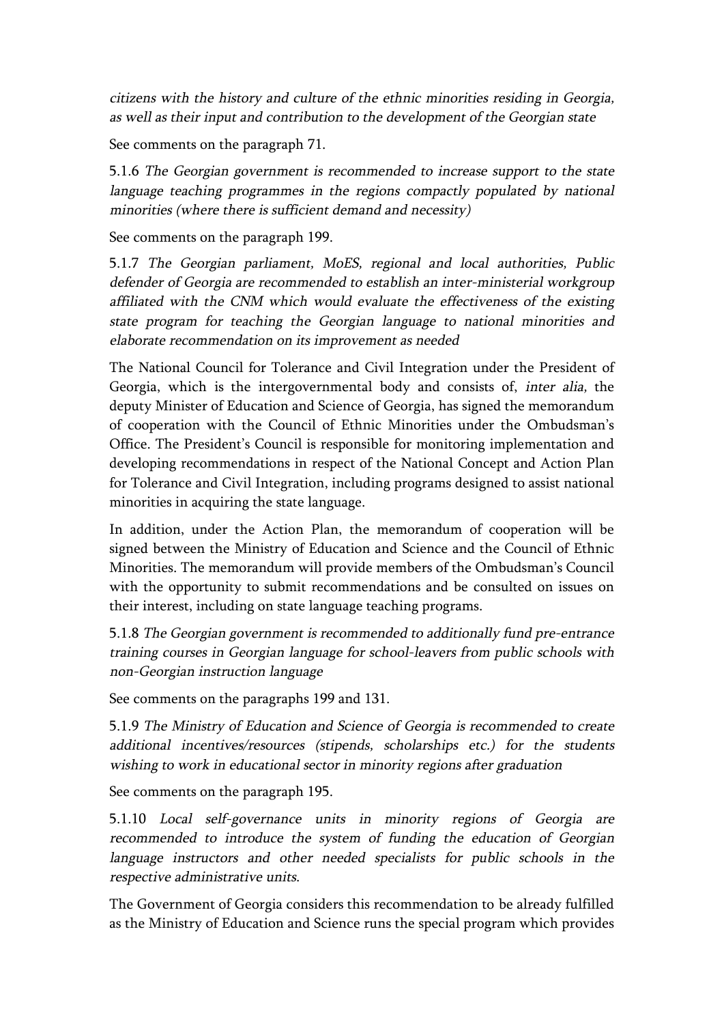citizens with the history and culture of the ethnic minorities residing in Georgia, as well as their input and contribution to the development of the Georgian state

See comments on the paragraph 71.

5.1.6 The Georgian government is recommended to increase support to the state language teaching programmes in the regions compactly populated by national minorities (where there is sufficient demand and necessity)

See comments on the paragraph 199.

5.1.7 The Georgian parliament, MoES, regional and local authorities, Public defender of Georgia are recommended to establish an inter-ministerial workgroup affiliated with the CNM which would evaluate the effectiveness of the existing state program for teaching the Georgian language to national minorities and elaborate recommendation on its improvement as needed

The National Council for Tolerance and Civil Integration under the President of Georgia, which is the intergovernmental body and consists of, inter alia, the deputy Minister of Education and Science of Georgia, has signed the memorandum of cooperation with the Council of Ethnic Minorities under the Ombudsman's Office. The President's Council is responsible for monitoring implementation and developing recommendations in respect of the National Concept and Action Plan for Tolerance and Civil Integration, including programs designed to assist national minorities in acquiring the state language.

In addition, under the Action Plan, the memorandum of cooperation will be signed between the Ministry of Education and Science and the Council of Ethnic Minorities. The memorandum will provide members of the Ombudsman's Council with the opportunity to submit recommendations and be consulted on issues on their interest, including on state language teaching programs.

5.1.8 The Georgian government is recommended to additionally fund pre-entrance training courses in Georgian language for school-leavers from public schools with non-Georgian instruction language

See comments on the paragraphs 199 and 131.

5.1.9 The Ministry of Education and Science of Georgia is recommended to create additional incentives/resources (stipends, scholarships etc.) for the students wishing to work in educational sector in minority regions after graduation

See comments on the paragraph 195.

5.1.10 Local self-governance units in minority regions of Georgia are recommended to introduce the system of funding the education of Georgian language instructors and other needed specialists for public schools in the respective administrative units.

The Government of Georgia considers this recommendation to be already fulfilled as the Ministry of Education and Science runs the special program which provides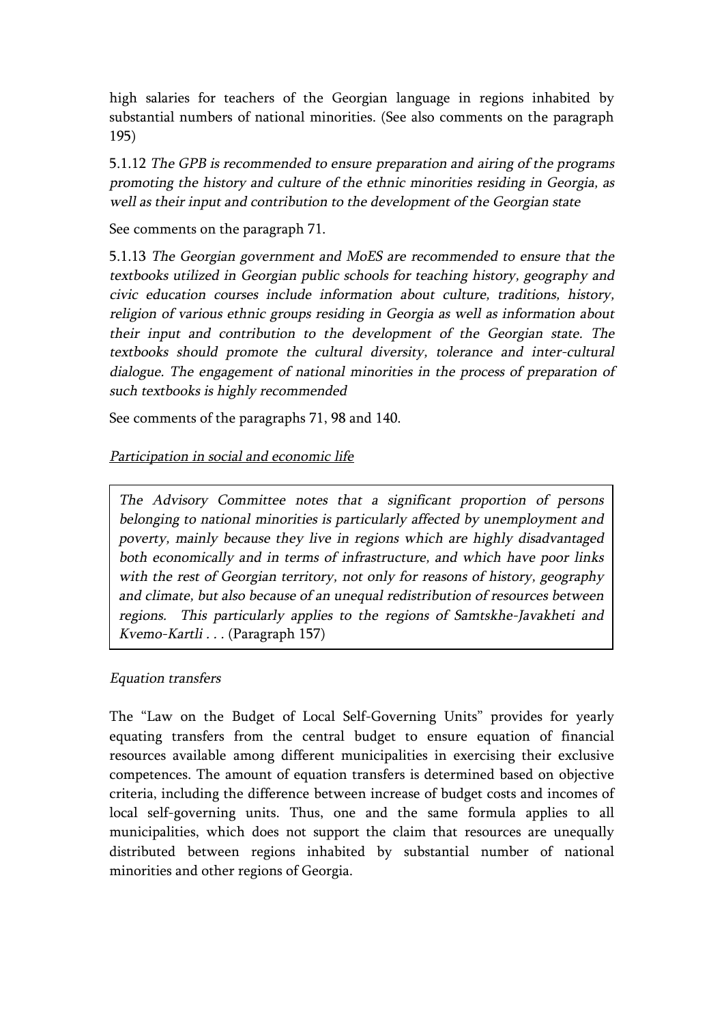high salaries for teachers of the Georgian language in regions inhabited by substantial numbers of national minorities. (See also comments on the paragraph 195)

5.1.12 The GPB is recommended to ensure preparation and airing of the programs promoting the history and culture of the ethnic minorities residing in Georgia, as well as their input and contribution to the development of the Georgian state

#### See comments on the paragraph 71.

5.1.13 The Georgian government and MoES are recommended to ensure that the textbooks utilized in Georgian public schools for teaching history, geography and civic education courses include information about culture, traditions, history, religion of various ethnic groups residing in Georgia as well as information about their input and contribution to the development of the Georgian state. The textbooks should promote the cultural diversity, tolerance and inter-cultural dialogue. The engagement of national minorities in the process of preparation of such textbooks is highly recommended

See comments of the paragraphs 71, 98 and 140.

#### Participation in social and economic life

The Advisory Committee notes that a significant proportion of persons belonging to national minorities is particularly affected by unemployment and poverty, mainly because they live in regions which are highly disadvantaged both economically and in terms of infrastructure, and which have poor links with the rest of Georgian territory, not only for reasons of history, geography and climate, but also because of an unequal redistribution of resources between regions. This particularly applies to the regions of Samtskhe-Javakheti and Kvemo-Kartli . . . (Paragraph 157)

#### Equation transfers

The "Law on the Budget of Local Self-Governing Units" provides for yearly equating transfers from the central budget to ensure equation of financial resources available among different municipalities in exercising their exclusive competences. The amount of equation transfers is determined based on objective criteria, including the difference between increase of budget costs and incomes of local self-governing units. Thus, one and the same formula applies to all municipalities, which does not support the claim that resources are unequally distributed between regions inhabited by substantial number of national minorities and other regions of Georgia.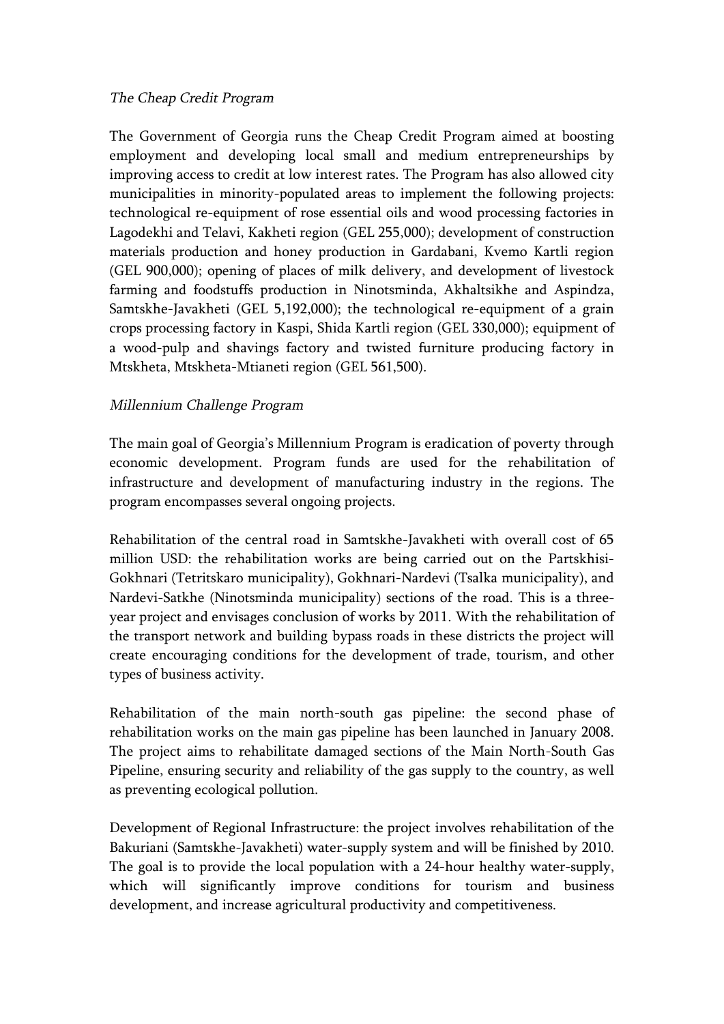### The Cheap Credit Program

The Government of Georgia runs the Cheap Credit Program aimed at boosting employment and developing local small and medium entrepreneurships by improving access to credit at low interest rates. The Program has also allowed city municipalities in minority-populated areas to implement the following projects: technological re-equipment of rose essential oils and wood processing factories in Lagodekhi and Telavi, Kakheti region (GEL 255,000); development of construction materials production and honey production in Gardabani, Kvemo Kartli region (GEL 900,000); opening of places of milk delivery, and development of livestock farming and foodstuffs production in Ninotsminda, Akhaltsikhe and Aspindza, Samtskhe-Javakheti (GEL 5,192,000); the technological re-equipment of a grain crops processing factory in Kaspi, Shida Kartli region (GEL 330,000); equipment of a wood-pulp and shavings factory and twisted furniture producing factory in Mtskheta, Mtskheta-Mtianeti region (GEL 561,500).

### Millennium Challenge Program

The main goal of Georgia's Millennium Program is eradication of poverty through economic development. Program funds are used for the rehabilitation of infrastructure and development of manufacturing industry in the regions. The program encompasses several ongoing projects.

Rehabilitation of the central road in Samtskhe-Javakheti with overall cost of 65 million USD: the rehabilitation works are being carried out on the Partskhisi-Gokhnari (Tetritskaro municipality), Gokhnari-Nardevi (Tsalka municipality), and Nardevi-Satkhe (Ninotsminda municipality) sections of the road. This is a threeyear project and envisages conclusion of works by 2011. With the rehabilitation of the transport network and building bypass roads in these districts the project will create encouraging conditions for the development of trade, tourism, and other types of business activity.

Rehabilitation of the main north-south gas pipeline: the second phase of rehabilitation works on the main gas pipeline has been launched in January 2008. The project aims to rehabilitate damaged sections of the Main North-South Gas Pipeline, ensuring security and reliability of the gas supply to the country, as well as preventing ecological pollution.

Development of Regional Infrastructure: the project involves rehabilitation of the Bakuriani (Samtskhe-Javakheti) water-supply system and will be finished by 2010. The goal is to provide the local population with a 24-hour healthy water-supply, which will significantly improve conditions for tourism and business development, and increase agricultural productivity and competitiveness.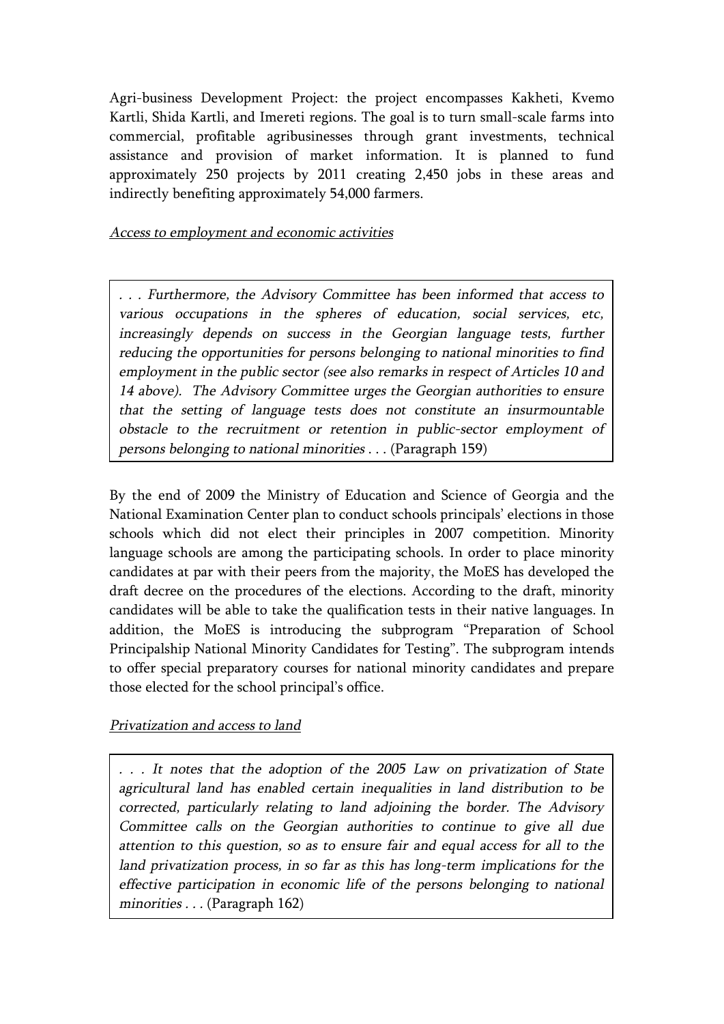Agri-business Development Project: the project encompasses Kakheti, Kvemo Kartli, Shida Kartli, and Imereti regions. The goal is to turn small-scale farms into commercial, profitable agribusinesses through grant investments, technical assistance and provision of market information. It is planned to fund approximately 250 projects by 2011 creating 2,450 jobs in these areas and indirectly benefiting approximately 54,000 farmers.

## Access to employment and economic activities

. . . Furthermore, the Advisory Committee has been informed that access to various occupations in the spheres of education, social services, etc, increasingly depends on success in the Georgian language tests, further reducing the opportunities for persons belonging to national minorities to find employment in the public sector (see also remarks in respect of Articles 10 and 14 above). The Advisory Committee urges the Georgian authorities to ensure that the setting of language tests does not constitute an insurmountable obstacle to the recruitment or retention in public-sector employment of persons belonging to national minorities . . . (Paragraph 159)

By the end of 2009 the Ministry of Education and Science of Georgia and the National Examination Center plan to conduct schools principals' elections in those schools which did not elect their principles in 2007 competition. Minority language schools are among the participating schools. In order to place minority candidates at par with their peers from the majority, the MoES has developed the draft decree on the procedures of the elections. According to the draft, minority candidates will be able to take the qualification tests in their native languages. In addition, the MoES is introducing the subprogram "Preparation of School Principalship National Minority Candidates for Testing". The subprogram intends to offer special preparatory courses for national minority candidates and prepare those elected for the school principal's office.

## Privatization and access to land

. . . It notes that the adoption of the 2005 Law on privatization of State agricultural land has enabled certain inequalities in land distribution to be corrected, particularly relating to land adjoining the border. The Advisory Committee calls on the Georgian authorities to continue to give all due attention to this question, so as to ensure fair and equal access for all to the land privatization process, in so far as this has long-term implications for the effective participation in economic life of the persons belonging to national minorities . . . (Paragraph 162)